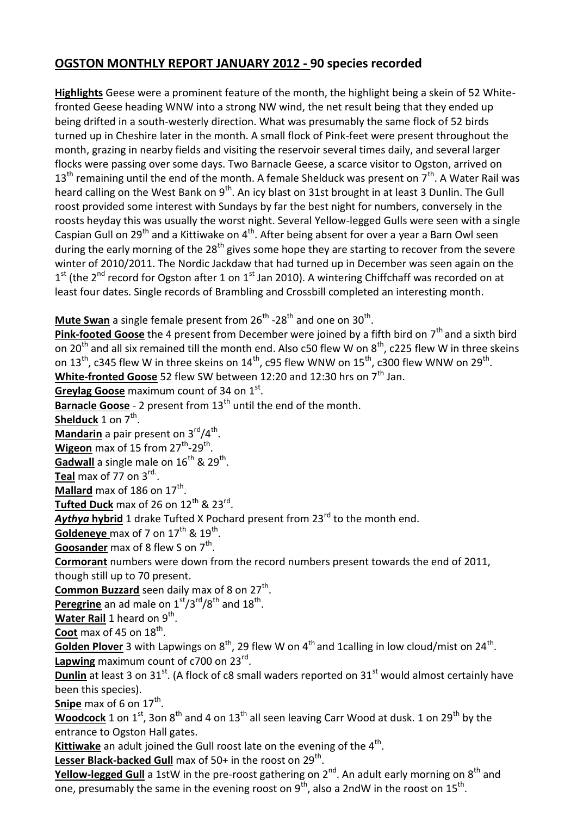# **OGSTON MONTHLY REPORT JANUARY 2012 - 90 species recorded**

**Highlights** Geese were a prominent feature of the month, the highlight being a skein of 52 Whitefronted Geese heading WNW into a strong NW wind, the net result being that they ended up being drifted in a south-westerly direction. What was presumably the same flock of 52 birds turned up in Cheshire later in the month. A small flock of Pink-feet were present throughout the month, grazing in nearby fields and visiting the reservoir several times daily, and several larger flocks were passing over some days. Two Barnacle Geese, a scarce visitor to Ogston, arrived on  $13<sup>th</sup>$  remaining until the end of the month. A female Shelduck was present on  $7<sup>th</sup>$ . A Water Rail was heard calling on the West Bank on 9<sup>th</sup>. An icy blast on 31st brought in at least 3 Dunlin. The Gull roost provided some interest with Sundays by far the best night for numbers, conversely in the roosts heyday this was usually the worst night. Several Yellow-legged Gulls were seen with a single Caspian Gull on 29<sup>th</sup> and a Kittiwake on 4<sup>th</sup>. After being absent for over a year a Barn Owl seen during the early morning of the  $28<sup>th</sup>$  gives some hope they are starting to recover from the severe winter of 2010/2011. The Nordic Jackdaw that had turned up in December was seen again on the  $1<sup>st</sup>$  (the 2<sup>nd</sup> record for Ogston after 1 on 1<sup>st</sup> Jan 2010). A wintering Chiffchaff was recorded on at least four dates. Single records of Brambling and Crossbill completed an interesting month.

## **Mute Swan** a single female present from 26<sup>th</sup> -28<sup>th</sup> and one on 30<sup>th</sup>.

**Pink-footed Goose** the 4 present from December were joined by a fifth bird on 7<sup>th</sup> and a sixth bird on 20<sup>th</sup> and all six remained till the month end. Also c50 flew W on 8<sup>th</sup>, c225 flew W in three skeins on 13<sup>th</sup>, c345 flew W in three skeins on 14<sup>th</sup>, c95 flew WNW on 15<sup>th</sup>, c300 flew WNW on 29<sup>th</sup>. White-fronted Goose 52 flew SW between 12:20 and 12:30 hrs on 7<sup>th</sup> Jan.

**Greylag Goose** maximum count of 34 on 1<sup>st</sup>.

**Barnacle Goose** - 2 present from 13<sup>th</sup> until the end of the month.

**Shelduck** 1 on 7<sup>th</sup>.

Mandarin a pair present on 3<sup>rd</sup>/4<sup>th</sup>.

Wigeon max of 15 from 27<sup>th</sup>-29<sup>th</sup>. **Gadwall** a single male on 16<sup>th</sup> & 29<sup>th</sup>.

**Teal** max of 77 on 3rd. .

Mallard max of 186 on 17<sup>th</sup>.

**<u>Tufted Duck</u> max of 26 on 12<sup>th</sup> & 23<sup>rd</sup>.** 

**Aythya hybrid** 1 drake Tufted X Pochard present from 23<sup>rd</sup> to the month end.

Goldeneye max of 7 on 17<sup>th</sup> & 19<sup>th</sup>.

**Goosander** max of 8 flew S on 7<sup>th</sup>.

**Cormorant** numbers were down from the record numbers present towards the end of 2011, though still up to 70 present.

Common Buzzard seen daily max of 8 on 27<sup>th</sup>.

Peregrine an ad male on 1<sup>st</sup>/3<sup>rd</sup>/8<sup>th</sup> and 18<sup>th</sup>.

Water Rail 1 heard on 9<sup>th</sup>.

**Coot** max of 45 on 18<sup>th</sup>.

Golden Plover 3 with Lapwings on 8<sup>th</sup>, 29 flew W on 4<sup>th</sup> and 1calling in low cloud/mist on 24<sup>th</sup>. Lapwing maximum count of c700 on 23<sup>rd</sup>.

**Dunlin** at least 3 on 31<sup>st</sup>. (A flock of c8 small waders reported on 31<sup>st</sup> would almost certainly have been this species).

**<u>Snipe</u>** max of 6 on 17<sup>th</sup>.

**Woodcock** 1 on 1<sup>st</sup>, 3on 8<sup>th</sup> and 4 on 13<sup>th</sup> all seen leaving Carr Wood at dusk. 1 on 29<sup>th</sup> by the entrance to Ogston Hall gates.

Kittiwake an adult joined the Gull roost late on the evening of the 4<sup>th</sup>.

Lesser Black-backed Gull max of 50+ in the roost on 29<sup>th</sup>.

Yellow-legged Gull a 1stW in the pre-roost gathering on 2<sup>nd</sup>. An adult early morning on 8<sup>th</sup> and one, presumably the same in the evening roost on  $9^{th}$ , also a 2ndW in the roost on 15<sup>th</sup>.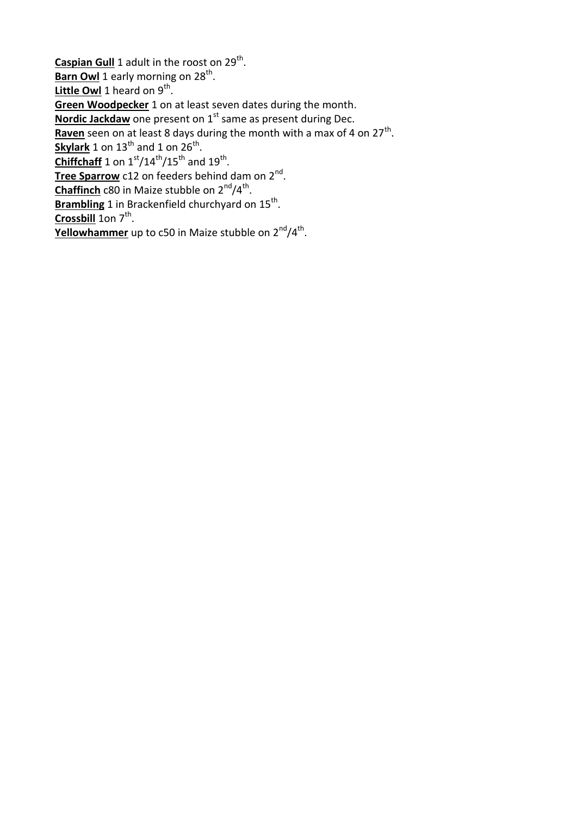Caspian Gull 1 adult in the roost on 29<sup>th</sup>. **Barn Owl** 1 early morning on 28<sup>th</sup>. Little Owl 1 heard on 9<sup>th</sup>. **Green Woodpecker** 1 on at least seven dates during the month. Nordic Jackdaw one present on 1<sup>st</sup> same as present during Dec. Raven seen on at least 8 days during the month with a max of 4 on 27<sup>th</sup>. **<u>Skylark</u>** 1 on 13<sup>th</sup> and 1 on 26<sup>th</sup>.  $\frac{\text{Chiffchaft}}{1}$  on  $1^\text{st}/14^\text{th}/15^\text{th}$  and  $19^\text{th}$ . Tree Sparrow c12 on feeders behind dam on 2<sup>nd</sup>. **Chaffinch** c80 in Maize stubble on 2<sup>nd</sup>/4<sup>th</sup>. Brambling 1 in Brackenfield churchyard on 15<sup>th</sup>.

Crossbill 1on 7<sup>th</sup>.

**Yellowhammer** up to c50 in Maize stubble on 2<sup>nd</sup>/4<sup>th</sup>.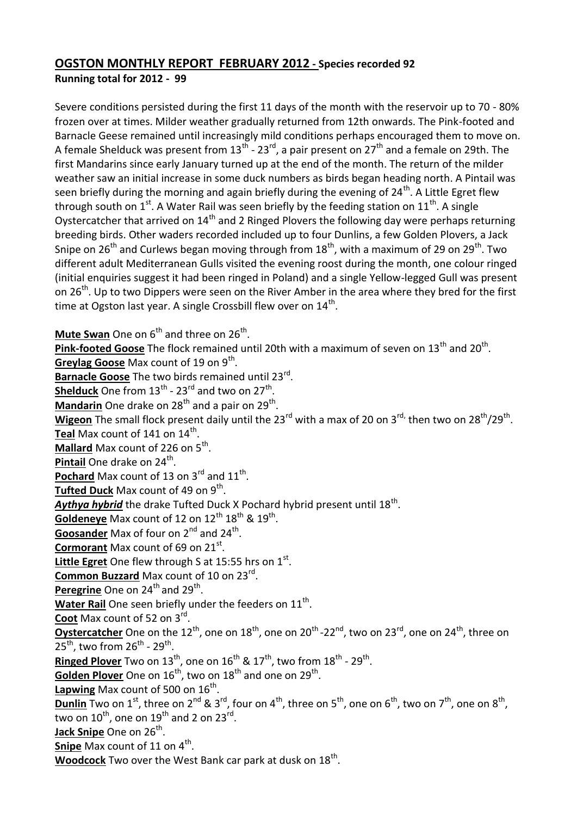#### **OGSTON MONTHLY REPORT FEBRUARY 2012 - Species recorded 92 Running total for 2012 - 99**

Severe conditions persisted during the first 11 days of the month with the reservoir up to 70 - 80% frozen over at times. Milder weather gradually returned from 12th onwards. The Pink-footed and Barnacle Geese remained until increasingly mild conditions perhaps encouraged them to move on. A female Shelduck was present from 13<sup>th</sup> - 23<sup>rd</sup>, a pair present on 27<sup>th</sup> and a female on 29th. The first Mandarins since early January turned up at the end of the month. The return of the milder weather saw an initial increase in some duck numbers as birds began heading north. A Pintail was seen briefly during the morning and again briefly during the evening of  $24<sup>th</sup>$ . A Little Egret flew through south on  $1^{st}$ . A Water Rail was seen briefly by the feeding station on  $11^{th}$ . A single Oystercatcher that arrived on  $14<sup>th</sup>$  and 2 Ringed Plovers the following day were perhaps returning breeding birds. Other waders recorded included up to four Dunlins, a few Golden Plovers, a Jack Snipe on  $26^{th}$  and Curlews began moving through from  $18^{th}$ , with a maximum of 29 on  $29^{th}$ . Two different adult Mediterranean Gulls visited the evening roost during the month, one colour ringed (initial enquiries suggest it had been ringed in Poland) and a single Yellow-legged Gull was present on  $26<sup>th</sup>$ . Up to two Dippers were seen on the River Amber in the area where they bred for the first time at Ogston last year. A single Crossbill flew over on  $14^{\text{th}}$ .

**Mute Swan** One on 6<sup>th</sup> and three on 26<sup>th</sup>.

Pink-footed Goose The flock remained until 20th with a maximum of seven on 13<sup>th</sup> and 20<sup>th</sup>. Greylag Goose Max count of 19 on 9<sup>th</sup>. Barnacle Goose The two birds remained until 23<sup>rd</sup>. **Shelduck** One from 13<sup>th</sup> - 23<sup>rd</sup> and two on 27<sup>th</sup>. Mandarin One drake on 28<sup>th</sup> and a pair on 29<sup>th</sup>. Wigeon The small flock present daily until the 23<sup>rd</sup> with a max of 20 on 3<sup>rd,</sup> then two on 28<sup>th</sup>/29<sup>th</sup>. **Teal** Max count of 141 on 14<sup>th</sup>. Mallard Max count of 226 on 5<sup>th</sup>. **Pintail** One drake on 24<sup>th</sup>. Pochard Max count of 13 on 3<sup>rd</sup> and 11<sup>th</sup>. **Tufted Duck** Max count of 49 on 9<sup>th</sup>. Aythya hybrid the drake Tufted Duck X Pochard hybrid present until 18<sup>th</sup>. **<u>Goldeneye</u>** Max count of 12 on 12<sup>th</sup> 18<sup>th</sup> & 19<sup>th</sup>. **Goosander** Max of four on 2<sup>nd</sup> and 24<sup>th</sup>. **Cormorant** Max count of 69 on 21<sup>st</sup>. Little Egret One flew through S at 15:55 hrs on 1<sup>st</sup>. **Common Buzzard** Max count of 10 on 23rd . Peregrine One on 24<sup>th</sup> and 29<sup>th</sup>. Water Rail One seen briefly under the feeders on 11<sup>th</sup>. **Coot** Max count of 52 on 3rd . **Oystercatcher** One on the 12<sup>th</sup>, one on 18<sup>th</sup>, one on 20<sup>th</sup>-22<sup>nd</sup>, two on 23<sup>rd</sup>, one on 24<sup>th</sup>, three on  $25^{\text{th}}$ , two from  $26^{\text{th}}$  -  $29^{\text{th}}$ . **Ringed Plover** Two on 13<sup>th</sup>, one on 16<sup>th</sup> & 17<sup>th</sup>, two from 18<sup>th</sup> - 29<sup>th</sup>. Golden Plover One on 16<sup>th</sup>, two on 18<sup>th</sup> and one on 29<sup>th</sup>. Lapwing Max count of 500 on 16<sup>th</sup>.  ${\bf Dunlin}$  Two on  $1^{\rm st}$ , three on  $2^{\rm nd}$  &  $3^{\rm rd}$ , four on  $4^{\rm th}$ , three on  $5^{\rm th}$ , one on  $6^{\rm th}$ , two on  $7^{\rm th}$ , one on  $8^{\rm th}$ , two on  $10^{\text{th}}$ , one on  $19^{\text{th}}$  and 2 on  $23^{\text{rd}}$ . **Jack Snipe** One on 26<sup>th</sup>. **<u>Snipe</u>** Max count of 11 on 4<sup>th</sup>. Woodcock Two over the West Bank car park at dusk on 18<sup>th</sup>.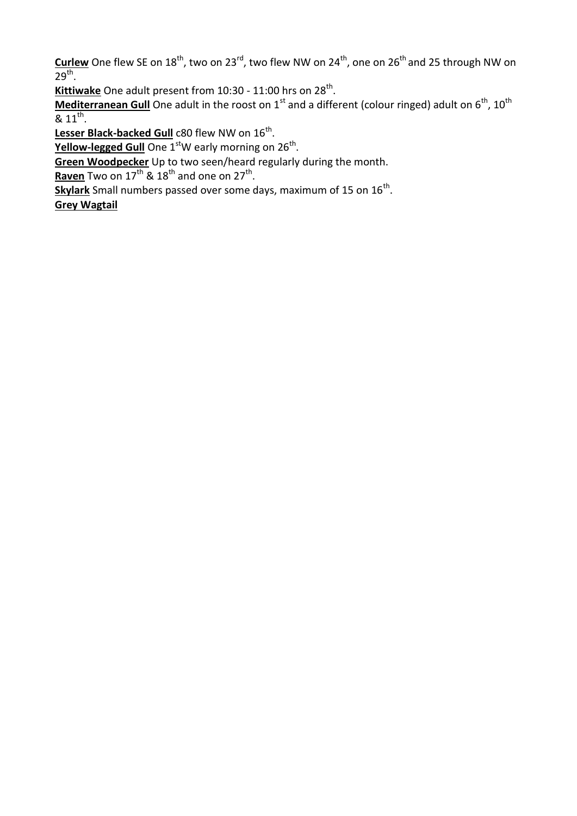**Curlew** One flew SE on 18<sup>th</sup>, two on 23<sup>rd</sup>, two flew NW on 24<sup>th</sup>, one on 26<sup>th</sup> and 25 through NW on  $29<sup>th</sup>$ .

Kittiwake One adult present from 10:30 - 11:00 hrs on 28<sup>th</sup>.

**Mediterranean Gull** One adult in the roost on 1<sup>st</sup> and a different (colour ringed) adult on 6<sup>th</sup>, 10<sup>th</sup>  $8.11^{th}$ .

Lesser Black-backed Gull c80 flew NW on 16<sup>th</sup>.

**Yellow-legged Gull** One 1<sup>st</sup>W early morning on 26<sup>th</sup>.

**Green Woodpecker** Up to two seen/heard regularly during the month.

Raven Two on 17<sup>th</sup> & 18<sup>th</sup> and one on 27<sup>th</sup>.

Skylark Small numbers passed over some days, maximum of 15 on 16<sup>th</sup>.

**Grey Wagtail**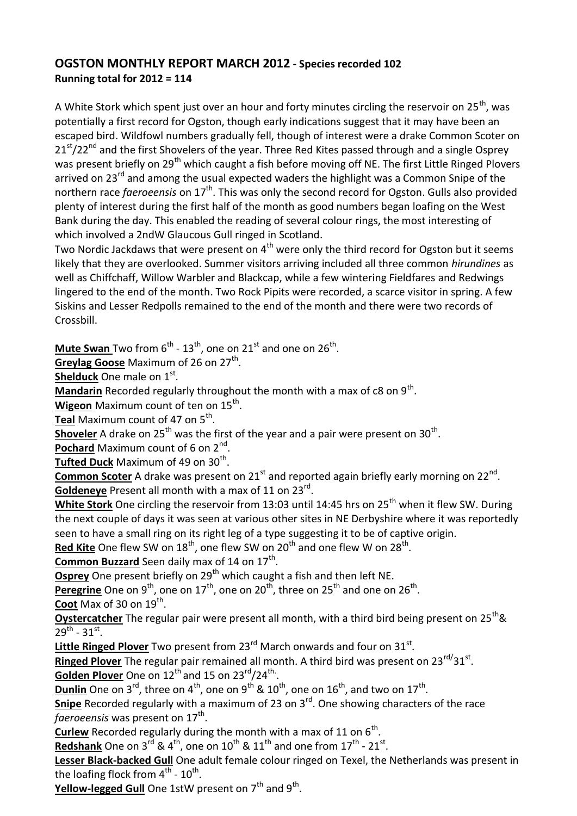## **OGSTON MONTHLY REPORT MARCH 2012 - Species recorded 102 Running total for 2012 = 114**

A White Stork which spent just over an hour and forty minutes circling the reservoir on  $25<sup>th</sup>$ , was potentially a first record for Ogston, though early indications suggest that it may have been an escaped bird. Wildfowl numbers gradually fell, though of interest were a drake Common Scoter on  $21<sup>st</sup>/22<sup>nd</sup>$  and the first Shovelers of the year. Three Red Kites passed through and a single Osprey was present briefly on 29<sup>th</sup> which caught a fish before moving off NE. The first Little Ringed Plovers arrived on 23<sup>rd</sup> and among the usual expected waders the highlight was a Common Snipe of the northern race *faeroeensis* on 17<sup>th</sup>. This was only the second record for Ogston. Gulls also provided plenty of interest during the first half of the month as good numbers began loafing on the West Bank during the day. This enabled the reading of several colour rings, the most interesting of which involved a 2ndW Glaucous Gull ringed in Scotland.

Two Nordic Jackdaws that were present on  $4<sup>th</sup>$  were only the third record for Ogston but it seems likely that they are overlooked. Summer visitors arriving included all three common *hirundines* as well as Chiffchaff, Willow Warbler and Blackcap, while a few wintering Fieldfares and Redwings lingered to the end of the month. Two Rock Pipits were recorded, a scarce visitor in spring. A few Siskins and Lesser Redpolls remained to the end of the month and there were two records of Crossbill.

**Mute Swan** Two from 6<sup>th</sup> - 13<sup>th</sup>, one on 21<sup>st</sup> and one on 26<sup>th</sup>.

Greylag Goose Maximum of 26 on 27<sup>th</sup>.

**Shelduck** One male on 1st.

Mandarin Recorded regularly throughout the month with a max of c8 on 9<sup>th</sup>.

**Wigeon** Maximum count of ten on 15<sup>th</sup>.

**Teal** Maximum count of 47 on 5<sup>th</sup>.

**Shoveler** A drake on 25<sup>th</sup> was the first of the year and a pair were present on 30<sup>th</sup>.

Pochard Maximum count of 6 on 2<sup>nd</sup>.

**Tufted Duck** Maximum of 49 on 30<sup>th</sup>.

**Common Scoter** A drake was present on 21<sup>st</sup> and reported again briefly early morning on 22<sup>nd</sup>. Goldeneye Present all month with a max of 11 on 23<sup>rd</sup>.

**White Stork** One circling the reservoir from 13:03 until 14:45 hrs on 25<sup>th</sup> when it flew SW. During the next couple of days it was seen at various other sites in NE Derbyshire where it was reportedly seen to have a small ring on its right leg of a type suggesting it to be of captive origin.

Red Kite One flew SW on 18<sup>th</sup>, one flew SW on 20<sup>th</sup> and one flew W on 28<sup>th</sup>.

Common Buzzard Seen daily max of 14 on 17<sup>th</sup>.

**Osprey** One present briefly on 29<sup>th</sup> which caught a fish and then left NE.

Peregrine One on 9<sup>th</sup>, one on 17<sup>th</sup>, one on 20<sup>th</sup>, three on 25<sup>th</sup> and one on 26<sup>th</sup>.

**Coot** Max of 30 on 19<sup>th</sup>.

**Oystercatcher** The regular pair were present all month, with a third bird being present on 25<sup>th</sup>&  $29^{th}$  -  $31^{st}$ .

Little Ringed Plover Two present from 23<sup>rd</sup> March onwards and four on 31<sup>st</sup>.

Ringed Plover The regular pair remained all month. A third bird was present on 23<sup>rd/</sup>31<sup>st</sup>. Golden Plover One on 12<sup>th</sup> and 15 on 23<sup>rd</sup>/24<sup>th</sup>.

**<u>Dunlin</u>** One on 3<sup>rd</sup>, three on 4<sup>th</sup>, one on 9<sup>th</sup> & 10<sup>th</sup>, one on 16<sup>th</sup>, and two on 17<sup>th</sup>.

**Snipe** Recorded regularly with a maximum of 23 on 3<sup>rd</sup>. One showing characters of the race fa*eroeensis* was present on 17<sup>th</sup>.

**Curlew** Recorded regularly during the month with a max of 11 on 6<sup>th</sup>.

Redshank One on 3<sup>rd</sup> & 4<sup>th</sup>, one on 10<sup>th</sup> & 11<sup>th</sup> and one from 17<sup>th</sup> - 21<sup>st</sup>.

**Lesser Black-backed Gull** One adult female colour ringed on Texel, the Netherlands was present in the loafing flock from  $4^{\text{th}}$  -  $10^{\text{th}}$ .

Yellow-legged Gull One 1stW present on 7<sup>th</sup> and 9<sup>th</sup>.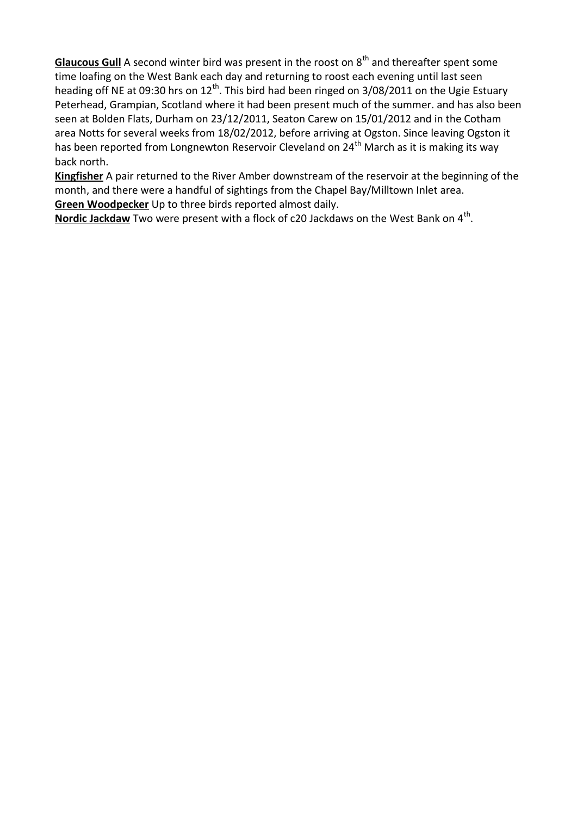**Glaucous Gull** A second winter bird was present in the roost on 8<sup>th</sup> and thereafter spent some time loafing on the West Bank each day and returning to roost each evening until last seen heading off NE at 09:30 hrs on  $12<sup>th</sup>$ . This bird had been ringed on 3/08/2011 on the Ugie Estuary Peterhead, Grampian, Scotland where it had been present much of the summer. and has also been seen at Bolden Flats, Durham on 23/12/2011, Seaton Carew on 15/01/2012 and in the Cotham area Notts for several weeks from 18/02/2012, before arriving at Ogston. Since leaving Ogston it has been reported from Longnewton Reservoir Cleveland on 24<sup>th</sup> March as it is making its way back north.

**Kingfisher** A pair returned to the River Amber downstream of the reservoir at the beginning of the month, and there were a handful of sightings from the Chapel Bay/Milltown Inlet area. **Green Woodpecker** Up to three birds reported almost daily.

Nordic Jackdaw Two were present with a flock of c20 Jackdaws on the West Bank on 4<sup>th</sup>.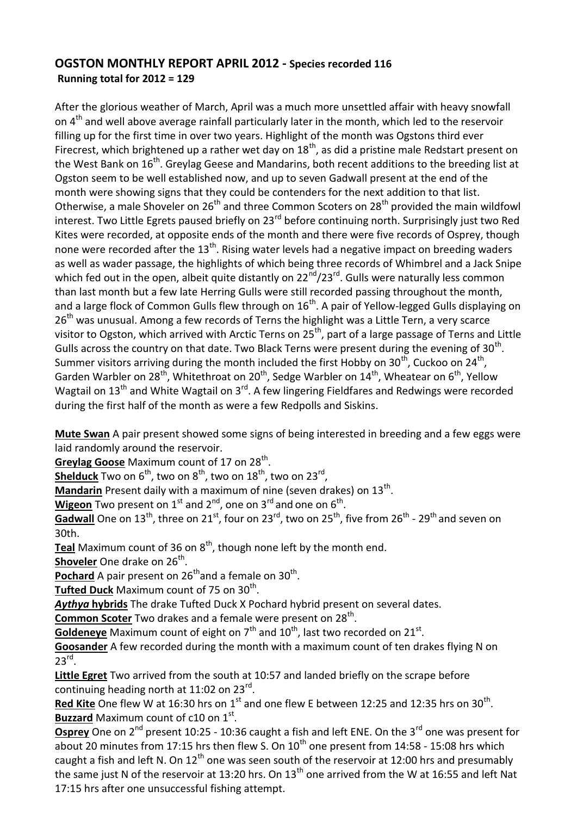### **OGSTON MONTHLY REPORT APRIL 2012 - Species recorded 116 Running total for 2012 = 129**

After the glorious weather of March, April was a much more unsettled affair with heavy snowfall on 4<sup>th</sup> and well above average rainfall particularly later in the month, which led to the reservoir filling up for the first time in over two years. Highlight of the month was Ogstons third ever Firecrest, which brightened up a rather wet day on  $18<sup>th</sup>$ , as did a pristine male Redstart present on the West Bank on 16<sup>th</sup>. Greylag Geese and Mandarins, both recent additions to the breeding list at Ogston seem to be well established now, and up to seven Gadwall present at the end of the month were showing signs that they could be contenders for the next addition to that list. Otherwise, a male Shoveler on 26<sup>th</sup> and three Common Scoters on 28<sup>th</sup> provided the main wildfowl interest. Two Little Egrets paused briefly on 23<sup>rd</sup> before continuing north. Surprisingly just two Red Kites were recorded, at opposite ends of the month and there were five records of Osprey, though none were recorded after the  $13<sup>th</sup>$ . Rising water levels had a negative impact on breeding waders as well as wader passage, the highlights of which being three records of Whimbrel and a Jack Snipe which fed out in the open, albeit quite distantly on  $22^{nd}/23^{rd}$ . Gulls were naturally less common than last month but a few late Herring Gulls were still recorded passing throughout the month, and a large flock of Common Gulls flew through on  $16<sup>th</sup>$ . A pair of Yellow-legged Gulls displaying on  $26<sup>th</sup>$  was unusual. Among a few records of Terns the highlight was a Little Tern, a very scarce visitor to Ogston, which arrived with Arctic Terns on 25<sup>th</sup>, part of a large passage of Terns and Little Gulls across the country on that date. Two Black Terns were present during the evening of  $30<sup>th</sup>$ . Summer visitors arriving during the month included the first Hobby on 30<sup>th</sup>, Cuckoo on 24<sup>th</sup>, Garden Warbler on 28<sup>th</sup>, Whitethroat on 20<sup>th</sup>, Sedge Warbler on  $14^{th}$ , Wheatear on 6<sup>th</sup>, Yellow Wagtail on  $13<sup>th</sup>$  and White Wagtail on  $3<sup>rd</sup>$ . A few lingering Fieldfares and Redwings were recorded during the first half of the month as were a few Redpolls and Siskins.

**Mute Swan** A pair present showed some signs of being interested in breeding and a few eggs were laid randomly around the reservoir.

Greylag Goose Maximum count of 17 on 28<sup>th</sup>.

**<u>Shelduck</u>** Two on 6<sup>th</sup>, two on 8<sup>th</sup>, two on 18<sup>th</sup>, two on 23<sup>rd</sup>,

**Mandarin** Present daily with a maximum of nine (seven drakes) on 13<sup>th</sup>.

**Wigeon** Two present on 1<sup>st</sup> and 2<sup>nd</sup>, one on 3<sup>rd</sup> and one on 6<sup>th</sup>.

Gadwall One on 13<sup>th</sup>, three on 21<sup>st</sup>, four on 23<sup>rd</sup>, two on 25<sup>th</sup>, five from 26<sup>th</sup> - 29<sup>th</sup> and seven on 30th.

**Teal** Maximum count of 36 on 8<sup>th</sup>, though none left by the month end.

**Shoveler** One drake on 26<sup>th</sup>.

Pochard A pair present on 26<sup>th</sup>and a female on 30<sup>th</sup>.

**Tufted Duck** Maximum count of 75 on 30<sup>th</sup>.

*Aythya* **hybrids** The drake Tufted Duck X Pochard hybrid present on several dates.

Common Scoter Two drakes and a female were present on 28<sup>th</sup>.

Goldeneye Maximum count of eight on 7<sup>th</sup> and 10<sup>th</sup>, last two recorded on 21<sup>st</sup>.

**Goosander** A few recorded during the month with a maximum count of ten drakes flying N on  $23^{\text{rd}}$ .

**Little Egret** Two arrived from the south at 10:57 and landed briefly on the scrape before continuing heading north at 11:02 on 23<sup>rd</sup>.

Red Kite One flew W at 16:30 hrs on 1<sup>st</sup> and one flew E between 12:25 and 12:35 hrs on 30<sup>th</sup>. **Buzzard** Maximum count of c10 on 1<sup>st</sup>.

**Osprey** One on 2<sup>nd</sup> present 10:25 - 10:36 caught a fish and left ENE. On the 3<sup>rd</sup> one was present for about 20 minutes from 17:15 hrs then flew S. On  $10<sup>th</sup>$  one present from 14:58 - 15:08 hrs which caught a fish and left N. On  $12<sup>th</sup>$  one was seen south of the reservoir at 12:00 hrs and presumably the same just N of the reservoir at 13:20 hrs. On  $13<sup>th</sup>$  one arrived from the W at 16:55 and left Nat 17:15 hrs after one unsuccessful fishing attempt.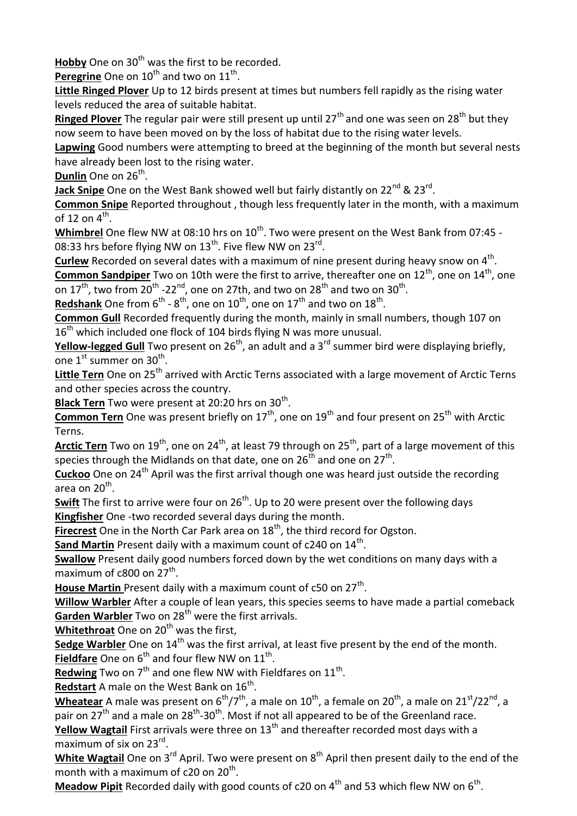**Hobby** One on 30<sup>th</sup> was the first to be recorded.

Peregrine One on 10<sup>th</sup> and two on 11<sup>th</sup>.

**Little Ringed Plover** Up to 12 birds present at times but numbers fell rapidly as the rising water levels reduced the area of suitable habitat.

**Ringed Plover** The regular pair were still present up until 27<sup>th</sup> and one was seen on 28<sup>th</sup> but they now seem to have been moved on by the loss of habitat due to the rising water levels.

**Lapwing** Good numbers were attempting to breed at the beginning of the month but several nests have already been lost to the rising water.

**Dunlin** One on 26<sup>th</sup>.

**Jack Snipe** One on the West Bank showed well but fairly distantly on 22<sup>nd</sup> & 23<sup>rd</sup>.

**Common Snipe** Reported throughout , though less frequently later in the month, with a maximum of 12 on  $4^{\text{th}}$ .

Whimbrel One flew NW at 08:10 hrs on 10<sup>th</sup>. Two were present on the West Bank from 07:45 -08:33 hrs before flying NW on  $13^{\text{th}}$ . Five flew NW on  $23^{\text{rd}}$ .

Curlew Recorded on several dates with a maximum of nine present during heavy snow on 4<sup>th</sup>. **Common Sandpiper** Two on 10th were the first to arrive, thereafter one on 12<sup>th</sup>, one on 14<sup>th</sup>, one

on 17<sup>th</sup>, two from 20<sup>th</sup> -22<sup>nd</sup>, one on 27th, and two on 28<sup>th</sup> and two on 30<sup>th</sup>.

**<u>Redshank</u>** One from 6<sup>th</sup> - 8<sup>th</sup>, one on 10<sup>th</sup>, one on 17<sup>th</sup> and two on 18<sup>th</sup>.

**Common Gull** Recorded frequently during the month, mainly in small numbers, though 107 on  $16<sup>th</sup>$  which included one flock of 104 birds flying N was more unusual.

**Yellow-legged Gull** Two present on 26<sup>th</sup>, an adult and a 3<sup>rd</sup> summer bird were displaying briefly, one  $1^{\text{st}}$  summer on  $30^{\text{th}}$ .

Little Tern One on 25<sup>th</sup> arrived with Arctic Terns associated with a large movement of Arctic Terns and other species across the country.

Black Tern Two were present at 20:20 hrs on 30<sup>th</sup>.

Common Tern One was present briefly on 17<sup>th</sup>, one on 19<sup>th</sup> and four present on 25<sup>th</sup> with Arctic Terns.

**Arctic Tern** Two on 19<sup>th</sup>, one on 24<sup>th</sup>, at least 79 through on 25<sup>th</sup>, part of a large movement of this species through the Midlands on that date, one on 26<sup>th</sup> and one on 27<sup>th</sup>.

Cuckoo One on 24<sup>th</sup> April was the first arrival though one was heard just outside the recording area on 20<sup>th</sup>.

**Swift** The first to arrive were four on 26<sup>th</sup>. Up to 20 were present over the following days **Kingfisher** One -two recorded several days during the month.

**Firecrest** One in the North Car Park area on 18<sup>th</sup>, the third record for Ogston.

**Sand Martin** Present daily with a maximum count of c240 on 14<sup>th</sup>.

**Swallow** Present daily good numbers forced down by the wet conditions on many days with a maximum of  $c800$  on  $27<sup>th</sup>$ .

House Martin Present daily with a maximum count of c50 on 27<sup>th</sup>.

**Willow Warbler** After a couple of lean years, this species seems to have made a partial comeback **Garden Warbler** Two on 28<sup>th</sup> were the first arrivals.

**Whitethroat** One on 20<sup>th</sup> was the first,

**Sedge Warbler** One on 14<sup>th</sup> was the first arrival, at least five present by the end of the month. **Fieldfare** One on 6<sup>th</sup> and four flew NW on 11<sup>th</sup>.

Redwing Two on 7<sup>th</sup> and one flew NW with Fieldfares on 11<sup>th</sup>.

Redstart A male on the West Bank on 16<sup>th</sup>.

Wheatear A male was present on 6<sup>th</sup>/7<sup>th</sup>, a male on 10<sup>th</sup>, a female on 20<sup>th</sup>, a male on 21<sup>st</sup>/22<sup>nd</sup>. a pair on 27<sup>th</sup> and a male on 28<sup>th</sup>-30<sup>th</sup>. Most if not all appeared to be of the Greenland race.

**Yellow Wagtail** First arrivals were three on 13<sup>th</sup> and thereafter recorded most days with a maximum of six on 23<sup>rd</sup>.

White Wagtail One on 3<sup>rd</sup> April. Two were present on 8<sup>th</sup> April then present daily to the end of the month with a maximum of c20 on 20<sup>th</sup>.

Meadow Pipit Recorded daily with good counts of c20 on 4<sup>th</sup> and 53 which flew NW on 6<sup>th</sup>.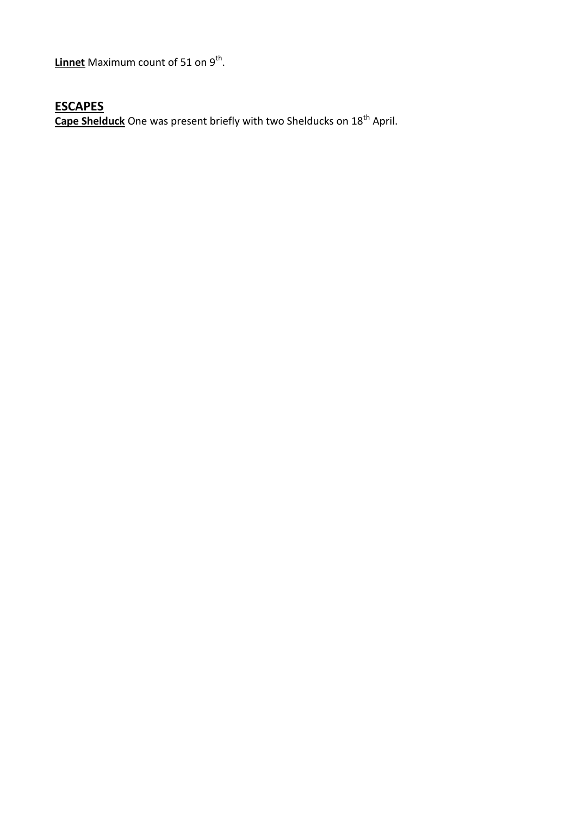**Linnet** Maximum count of 51 on 9<sup>th</sup>.

# **ESCAPES**

**Cape Shelduck** One was present briefly with two Shelducks on 18<sup>th</sup> April.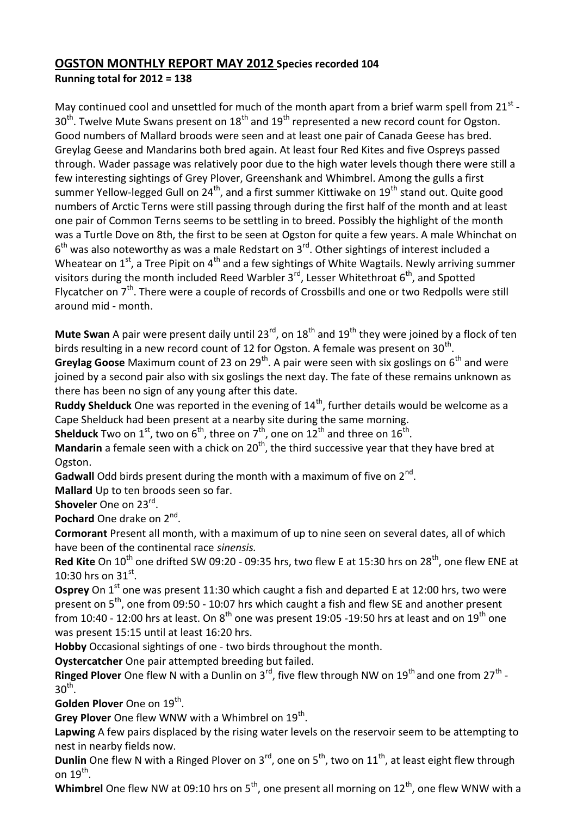#### **OGSTON MONTHLY REPORT MAY 2012 Species recorded 104 Running total for 2012 = 138**

May continued cool and unsettled for much of the month apart from a brief warm spell from  $21^{st}$  - $30<sup>th</sup>$ . Twelve Mute Swans present on  $18<sup>th</sup>$  and  $19<sup>th</sup>$  represented a new record count for Ogston. Good numbers of Mallard broods were seen and at least one pair of Canada Geese has bred. Greylag Geese and Mandarins both bred again. At least four Red Kites and five Ospreys passed through. Wader passage was relatively poor due to the high water levels though there were still a few interesting sightings of Grey Plover, Greenshank and Whimbrel. Among the gulls a first summer Yellow-legged Gull on  $24<sup>th</sup>$ , and a first summer Kittiwake on  $19<sup>th</sup>$  stand out. Quite good numbers of Arctic Terns were still passing through during the first half of the month and at least one pair of Common Terns seems to be settling in to breed. Possibly the highlight of the month was a Turtle Dove on 8th, the first to be seen at Ogston for quite a few years. A male Whinchat on  $6<sup>th</sup>$  was also noteworthy as was a male Redstart on 3<sup>rd</sup>. Other sightings of interest included a Wheatear on  $1<sup>st</sup>$ , a Tree Pipit on  $4<sup>th</sup>$  and a few sightings of White Wagtails. Newly arriving summer visitors during the month included Reed Warbler  $3^{rd}$ , Lesser Whitethroat  $6^{th}$ , and Spotted Flycatcher on 7<sup>th</sup>. There were a couple of records of Crossbills and one or two Redpolls were still around mid - month.

**Mute Swan** A pair were present daily until 23<sup>rd</sup>, on 18<sup>th</sup> and 19<sup>th</sup> they were joined by a flock of ten birds resulting in a new record count of 12 for Ogston. A female was present on 30<sup>th</sup>.

**Greylag Goose** Maximum count of 23 on 29<sup>th</sup>. A pair were seen with six goslings on 6<sup>th</sup> and were joined by a second pair also with six goslings the next day. The fate of these remains unknown as there has been no sign of any young after this date.

**Ruddy Shelduck** One was reported in the evening of 14<sup>th</sup>, further details would be welcome as a Cape Shelduck had been present at a nearby site during the same morning.

**Shelduck** Two on 1<sup>st</sup>, two on 6<sup>th</sup>, three on 7<sup>th</sup>, one on 12<sup>th</sup> and three on 16<sup>th</sup>.

**Mandarin** a female seen with a chick on 20<sup>th</sup>, the third successive year that they have bred at Ogston.

Gadwall Odd birds present during the month with a maximum of five on 2<sup>nd</sup>.

**Mallard** Up to ten broods seen so far.

**Shoveler** One on 23<sup>rd</sup>.

Pochard One drake on 2<sup>nd</sup>.

**Cormorant** Present all month, with a maximum of up to nine seen on several dates, all of which have been of the continental race *sinensis.*

**Red Kite** On 10<sup>th</sup> one drifted SW 09:20 - 09:35 hrs, two flew E at 15:30 hrs on 28<sup>th</sup>, one flew ENE at 10:30 hrs on  $31^{st}$ .

**Osprey** On 1<sup>st</sup> one was present 11:30 which caught a fish and departed E at 12:00 hrs, two were present on 5<sup>th</sup>, one from 09:50 - 10:07 hrs which caught a fish and flew SE and another present from 10:40 - 12:00 hrs at least. On  $8<sup>th</sup>$  one was present 19:05 -19:50 hrs at least and on 19<sup>th</sup> one was present 15:15 until at least 16:20 hrs.

**Hobby** Occasional sightings of one - two birds throughout the month.

**Oystercatcher** One pair attempted breeding but failed.

Ringed Plover One flew N with a Dunlin on 3<sup>rd</sup>, five flew through NW on 19<sup>th</sup> and one from 27<sup>th</sup> - $30<sup>th</sup>$ .

Golden Plover One on 19<sup>th</sup>.

Grey Plover One flew WNW with a Whimbrel on 19<sup>th</sup>.

**Lapwing** A few pairs displaced by the rising water levels on the reservoir seem to be attempting to nest in nearby fields now.

**Dunlin** One flew N with a Ringed Plover on 3<sup>rd</sup>, one on 5<sup>th</sup>, two on 11<sup>th</sup>, at least eight flew through on  $19^{\text{th}}$ .

**Whimbrel** One flew NW at 09:10 hrs on 5<sup>th</sup>, one present all morning on 12<sup>th</sup>, one flew WNW with a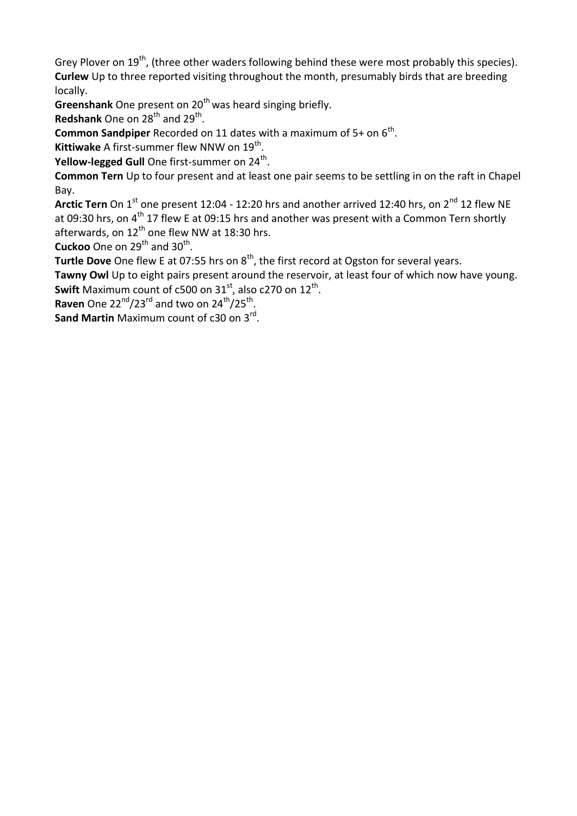Grey Plover on  $19^{th}$ , (three other waders following behind these were most probably this species). **Curlew** Up to three reported visiting throughout the month, presumably birds that are breeding locally.

**Greenshank** One present on 20<sup>th</sup> was heard singing briefly.

**Redshank** One on 28<sup>th</sup> and 29<sup>th</sup>.

**Common Sandpiper** Recorded on 11 dates with a maximum of  $5+$  on  $6<sup>th</sup>$ .

**Kittiwake** A first-summer flew NNW on 19<sup>th</sup>.

**Yellow-legged Gull** One first-summer on 24<sup>th</sup>.

**Common Tern** Up to four present and at least one pair seems to be settling in on the raft in Chapel Bay.

Arctic Tern On 1<sup>st</sup> one present 12:04 - 12:20 hrs and another arrived 12:40 hrs, on 2<sup>nd</sup> 12 flew NE at 09:30 hrs, on  $4<sup>th</sup>$  17 flew E at 09:15 hrs and another was present with a Common Tern shortly afterwards, on  $12^{th}$  one flew NW at 18:30 hrs.

**Cuckoo** One on  $29<sup>th</sup>$  and  $30<sup>th</sup>$ .

**Turtle Dove** One flew E at 07:55 hrs on 8<sup>th</sup>, the first record at Ogston for several years.

**Tawny Owl** Up to eight pairs present around the reservoir, at least four of which now have young. **Swift** Maximum count of c500 on  $31^{\text{st}}$ , also c270 on  $12^{\text{th}}$ .

**Raven** One  $22^{nd}/23^{rd}$  and two on  $24^{th}/25^{th}$ .

**Sand Martin** Maximum count of c30 on 3<sup>rd</sup>.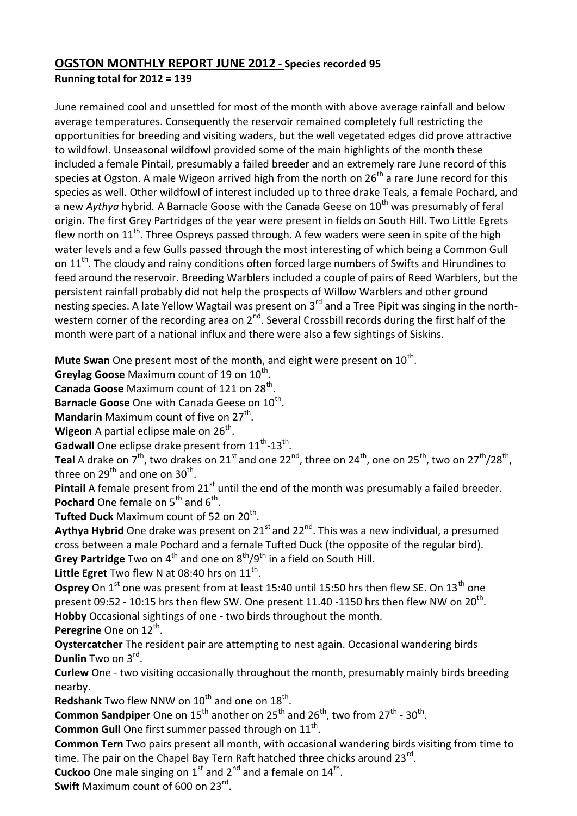#### **OGSTON MONTHLY REPORT JUNE 2012 - Species recorded 95 Running total for 2012 = 139**

June remained cool and unsettled for most of the month with above average rainfall and below average temperatures. Consequently the reservoir remained completely full restricting the opportunities for breeding and visiting waders, but the well vegetated edges did prove attractive to wildfowl. Unseasonal wildfowl provided some of the main highlights of the month these included a female Pintail, presumably a failed breeder and an extremely rare June record of this species at Ogston. A male Wigeon arrived high from the north on  $26<sup>th</sup>$  a rare June record for this species as well. Other wildfowl of interest included up to three drake Teals, a female Pochard, and a new *Aythya* hybrid. A Barnacle Goose with the Canada Geese on 10<sup>th</sup> was presumably of feral origin. The first Grey Partridges of the year were present in fields on South Hill. Two Little Egrets flew north on  $11<sup>th</sup>$ . Three Ospreys passed through. A few waders were seen in spite of the high water levels and a few Gulls passed through the most interesting of which being a Common Gull on 11<sup>th</sup>. The cloudy and rainy conditions often forced large numbers of Swifts and Hirundines to feed around the reservoir. Breeding Warblers included a couple of pairs of Reed Warblers, but the persistent rainfall probably did not help the prospects of Willow Warblers and other ground nesting species. A late Yellow Wagtail was present on  $3<sup>rd</sup>$  and a Tree Pipit was singing in the northwestern corner of the recording area on  $2^{nd}$ . Several Crossbill records during the first half of the month were part of a national influx and there were also a few sightings of Siskins.

Mute Swan One present most of the month, and eight were present on 10<sup>th</sup>.

Greylag Goose Maximum count of 19 on 10<sup>th</sup>.

Canada Goose Maximum count of 121 on 28<sup>th</sup>.

Barnacle Goose One with Canada Geese on 10<sup>th</sup>.

Mandarin Maximum count of five on 27<sup>th</sup>.

Wigeon A partial eclipse male on 26<sup>th</sup>.

Gadwall One eclipse drake present from 11<sup>th</sup>-13<sup>th</sup>.

**Teal** A drake on  $7^{th}$ , two drakes on 21<sup>st</sup> and one 22<sup>nd</sup>, three on 24<sup>th</sup>, one on 25<sup>th</sup>, two on 27<sup>th</sup>/28<sup>th</sup>, three on 29<sup>th</sup> and one on 30<sup>th</sup>.

**Pintail** A female present from 21<sup>st</sup> until the end of the month was presumably a failed breeder. **Pochard** One female on 5<sup>th</sup> and 6<sup>th</sup>.

**Tufted Duck** Maximum count of 52 on 20<sup>th</sup>.

Aythya Hybrid One drake was present on 21<sup>st</sup> and 22<sup>nd</sup>. This was a new individual, a presumed cross between a male Pochard and a female Tufted Duck (the opposite of the regular bird). **Grey Partridge** Two on 4<sup>th</sup> and one on 8<sup>th</sup>/9<sup>th</sup> in a field on South Hill.

Little Egret Two flew N at 08:40 hrs on 11<sup>th</sup>.

**Osprey** On 1<sup>st</sup> one was present from at least 15:40 until 15:50 hrs then flew SE. On 13<sup>th</sup> one present 09:52 - 10:15 hrs then flew SW. One present 11.40 -1150 hrs then flew NW on  $20^{th}$ . **Hobby** Occasional sightings of one - two birds throughout the month. **Peregrine** One on 12<sup>th</sup>.

**Oystercatcher** The resident pair are attempting to nest again. Occasional wandering birds **Dunlin** Two on 3<sup>rd</sup>.

**Curlew** One - two visiting occasionally throughout the month, presumably mainly birds breeding nearby.

**Redshank** Two flew NNW on 10<sup>th</sup> and one on 18<sup>th</sup>.

**Common Sandpiper** One on 15<sup>th</sup> another on 25<sup>th</sup> and 26<sup>th</sup>, two from 27<sup>th</sup> - 30<sup>th</sup>.

Common Gull One first summer passed through on 11<sup>th</sup>.

**Common Tern** Two pairs present all month, with occasional wandering birds visiting from time to time. The pair on the Chapel Bay Tern Raft hatched three chicks around 23 $^{\text{rd}}$ .

**Cuckoo** One male singing on  $1<sup>st</sup>$  and  $2<sup>nd</sup>$  and a female on  $14<sup>th</sup>$ .

**Swift** Maximum count of 600 on 23<sup>rd</sup>.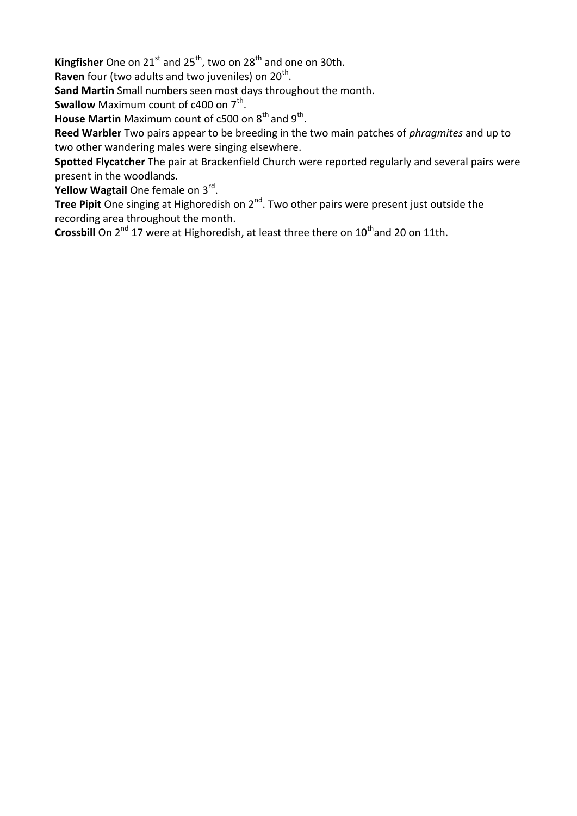Kingfisher One on 21<sup>st</sup> and 25<sup>th</sup>, two on 28<sup>th</sup> and one on 30th.

Raven four (two adults and two juveniles) on 20<sup>th</sup>.

**Sand Martin** Small numbers seen most days throughout the month.

**Swallow** Maximum count of c400 on 7<sup>th</sup>.

**House Martin** Maximum count of c500 on 8<sup>th</sup> and 9<sup>th</sup>.

**Reed Warbler** Two pairs appear to be breeding in the two main patches of *phragmites* and up to two other wandering males were singing elsewhere.

**Spotted Flycatcher** The pair at Brackenfield Church were reported regularly and several pairs were present in the woodlands.

**Yellow Wagtail** One female on 3<sup>rd</sup>.

Tree Pipit One singing at Highoredish on 2<sup>nd</sup>. Two other pairs were present just outside the recording area throughout the month.

**Crossbill** On 2<sup>nd</sup> 17 were at Highoredish, at least three there on 10<sup>th</sup> and 20 on 11th.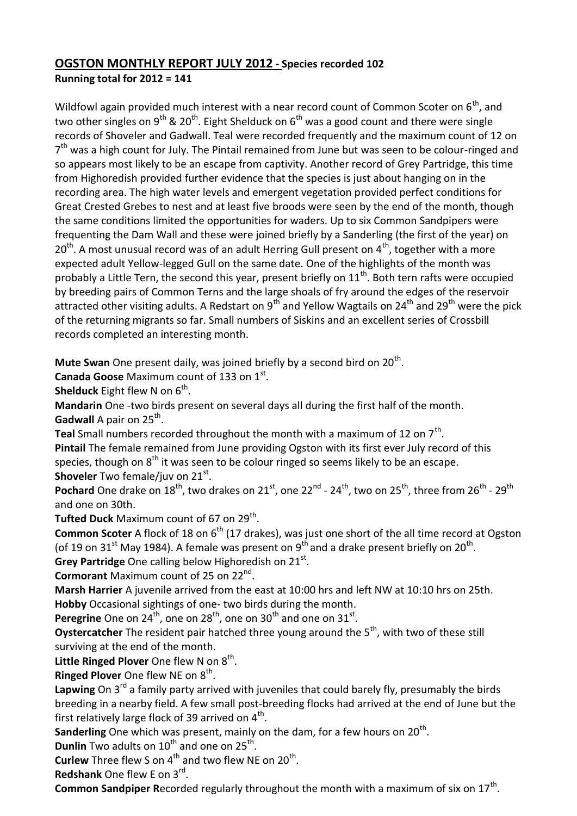## **OGSTON MONTHLY REPORT JULY 2012 - Species recorded 102 Running total for 2012 = 141**

Wildfowl again provided much interest with a near record count of Common Scoter on  $6<sup>th</sup>$ , and two other singles on 9<sup>th</sup> & 20<sup>th</sup>. Eight Shelduck on 6<sup>th</sup> was a good count and there were single records of Shoveler and Gadwall. Teal were recorded frequently and the maximum count of 12 on 7<sup>th</sup> was a high count for July. The Pintail remained from June but was seen to be colour-ringed and so appears most likely to be an escape from captivity. Another record of Grey Partridge, this time from Highoredish provided further evidence that the species is just about hanging on in the recording area. The high water levels and emergent vegetation provided perfect conditions for Great Crested Grebes to nest and at least five broods were seen by the end of the month, though the same conditions limited the opportunities for waders. Up to six Common Sandpipers were frequenting the Dam Wall and these were joined briefly by a Sanderling (the first of the year) on  $20<sup>th</sup>$ . A most unusual record was of an adult Herring Gull present on 4<sup>th</sup>, together with a more expected adult Yellow-legged Gull on the same date. One of the highlights of the month was probably a Little Tern, the second this year, present briefly on  $11<sup>th</sup>$ . Both tern rafts were occupied by breeding pairs of Common Terns and the large shoals of fry around the edges of the reservoir attracted other visiting adults. A Redstart on 9<sup>th</sup> and Yellow Wagtails on 24<sup>th</sup> and 29<sup>th</sup> were the pick of the returning migrants so far. Small numbers of Siskins and an excellent series of Crossbill records completed an interesting month.

Mute Swan One present daily, was joined briefly by a second bird on 20<sup>th</sup>.

Canada Goose Maximum count of 133 on 1<sup>st</sup>.

**Shelduck** Eight flew N on 6<sup>th</sup>.

**Mandarin** One -two birds present on several days all during the first half of the month. **Gadwall** A pair on 25<sup>th</sup>.

Teal Small numbers recorded throughout the month with a maximum of 12 on 7<sup>th</sup>.

**Pintail** The female remained from June providing Ogston with its first ever July record of this species, though on 8<sup>th</sup> it was seen to be colour ringed so seems likely to be an escape. **Shoveler** Two female/juv on 21<sup>st</sup>.

**Pochard** One drake on 18<sup>th</sup>, two drakes on 21<sup>st</sup>, one 22<sup>nd</sup> - 24<sup>th</sup>, two on 25<sup>th</sup>, three from 26<sup>th</sup> - 29<sup>th</sup> and one on 30th.

**Tufted Duck** Maximum count of 67 on 29<sup>th</sup>.

**Common Scoter** A flock of 18 on 6<sup>th</sup> (17 drakes), was just one short of the all time record at Ogston (of 19 on 31<sup>st</sup> May 1984). A female was present on 9<sup>th</sup> and a drake present briefly on 20<sup>th</sup>.

Grey Partridge One calling below Highoredish on 21<sup>st</sup>.

**Cormorant** Maximum count of 25 on 22nd .

**Marsh Harrier** A juvenile arrived from the east at 10:00 hrs and left NW at 10:10 hrs on 25th. **Hobby** Occasional sightings of one- two birds during the month.

**Peregrine** One on 24<sup>th</sup>, one on 28<sup>th</sup>, one on 30<sup>th</sup> and one on 31<sup>st</sup>.

**Oystercatcher** The resident pair hatched three young around the 5<sup>th</sup>, with two of these still surviving at the end of the month.

Little Ringed Plover One flew N on 8<sup>th</sup>.

**Ringed Plover** One flew NE on 8<sup>th</sup>.

Lapwing On 3<sup>rd</sup> a family party arrived with juveniles that could barely fly, presumably the birds breeding in a nearby field. A few small post-breeding flocks had arrived at the end of June but the first relatively large flock of 39 arrived on  $4^{\text{th}}$ .

**Sanderling** One which was present, mainly on the dam, for a few hours on 20<sup>th</sup>.

**Dunlin** Two adults on 10<sup>th</sup> and one on 25<sup>th</sup>.

**Curlew** Three flew S on  $4<sup>th</sup>$  and two flew NE on 20<sup>th</sup>.

**Redshank** One flew E on 3rd .

Common Sandpiper Recorded regularly throughout the month with a maximum of six on 17<sup>th</sup>.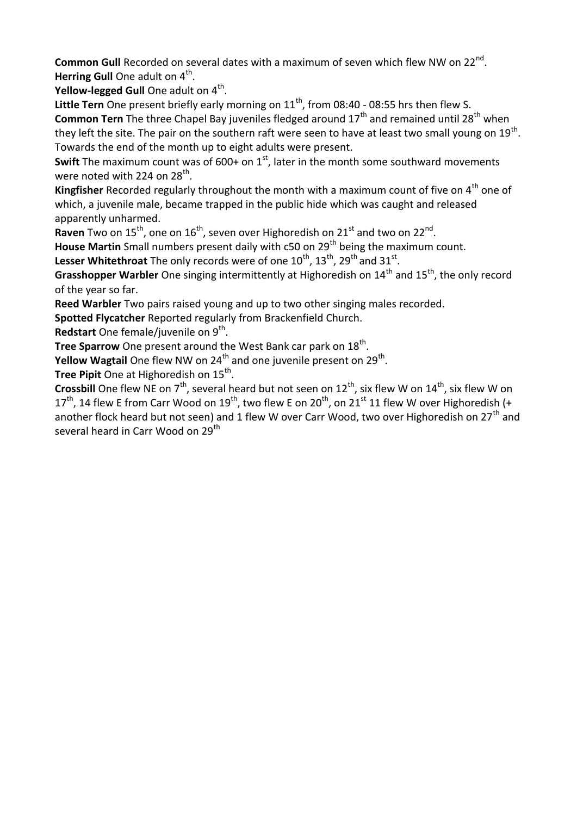Common Gull Recorded on several dates with a maximum of seven which flew NW on 22<sup>nd</sup>. Herring Gull One adult on 4<sup>th</sup>.

**Yellow-legged Gull** One adult on 4<sup>th</sup>.

Little Tern One present briefly early morning on 11<sup>th</sup>, from 08:40 - 08:55 hrs then flew S. **Common Tern** The three Chapel Bay juveniles fledged around 17<sup>th</sup> and remained until 28<sup>th</sup> when they left the site. The pair on the southern raft were seen to have at least two small young on  $19^{\text{th}}$ . Towards the end of the month up to eight adults were present.

**Swift** The maximum count was of 600+ on 1<sup>st</sup>, later in the month some southward movements were noted with 224 on  $28<sup>th</sup>$ .

**Kingfisher** Recorded regularly throughout the month with a maximum count of five on 4<sup>th</sup> one of which, a juvenile male, became trapped in the public hide which was caught and released apparently unharmed.

Raven Two on 15<sup>th</sup>, one on 16<sup>th</sup>, seven over Highoredish on 21<sup>st</sup> and two on 22<sup>nd</sup>.

**House Martin** Small numbers present daily with c50 on 29<sup>th</sup> being the maximum count.

**Lesser Whitethroat** The only records were of one  $10^{th}$ ,  $13^{th}$ ,  $29^{th}$  and  $31^{st}$ .

**Grasshopper Warbler** One singing intermittently at Highoredish on 14<sup>th</sup> and 15<sup>th</sup>, the only record of the year so far.

**Reed Warbler** Two pairs raised young and up to two other singing males recorded.

**Spotted Flycatcher** Reported regularly from Brackenfield Church.

Redstart One female/juvenile on 9<sup>th</sup>.

**Tree Sparrow** One present around the West Bank car park on 18<sup>th</sup>.

**Yellow Wagtail** One flew NW on 24<sup>th</sup> and one juvenile present on 29<sup>th</sup>.

**Tree Pipit** One at Highoredish on 15<sup>th</sup>.

**Crossbill** One flew NE on  $7<sup>th</sup>$ , several heard but not seen on  $12<sup>th</sup>$ , six flew W on  $14<sup>th</sup>$ , six flew W on  $17<sup>th</sup>$ , 14 flew E from Carr Wood on 19<sup>th</sup>, two flew E on 20<sup>th</sup>, on 21<sup>st</sup> 11 flew W over Highoredish (+ another flock heard but not seen) and 1 flew W over Carr Wood, two over Highoredish on 27<sup>th</sup> and several heard in Carr Wood on 29<sup>th</sup>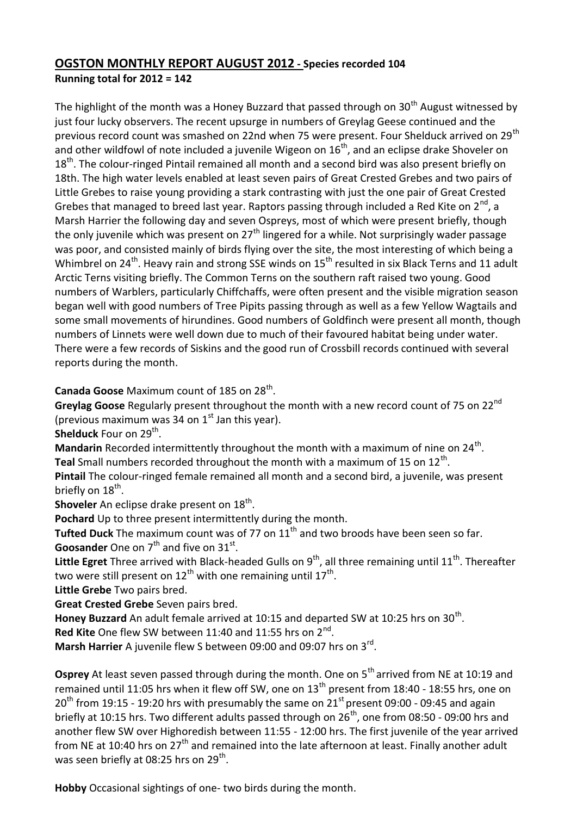## **OGSTON MONTHLY REPORT AUGUST 2012 - Species recorded 104 Running total for 2012 = 142**

The highlight of the month was a Honey Buzzard that passed through on  $30<sup>th</sup>$  August witnessed by just four lucky observers. The recent upsurge in numbers of Greylag Geese continued and the previous record count was smashed on 22nd when 75 were present. Four Shelduck arrived on 29<sup>th</sup> and other wildfowl of note included a juvenile Wigeon on  $16<sup>th</sup>$ , and an eclipse drake Shoveler on 18<sup>th</sup>. The colour-ringed Pintail remained all month and a second bird was also present briefly on 18th. The high water levels enabled at least seven pairs of Great Crested Grebes and two pairs of Little Grebes to raise young providing a stark contrasting with just the one pair of Great Crested Grebes that managed to breed last year. Raptors passing through included a Red Kite on  $2^{nd}$ , a Marsh Harrier the following day and seven Ospreys, most of which were present briefly, though the only juvenile which was present on  $27<sup>th</sup>$  lingered for a while. Not surprisingly wader passage was poor, and consisted mainly of birds flying over the site, the most interesting of which being a Whimbrel on  $24<sup>th</sup>$ . Heavy rain and strong SSE winds on  $15<sup>th</sup>$  resulted in six Black Terns and 11 adult Arctic Terns visiting briefly. The Common Terns on the southern raft raised two young. Good numbers of Warblers, particularly Chiffchaffs, were often present and the visible migration season began well with good numbers of Tree Pipits passing through as well as a few Yellow Wagtails and some small movements of hirundines. Good numbers of Goldfinch were present all month, though numbers of Linnets were well down due to much of their favoured habitat being under water. There were a few records of Siskins and the good run of Crossbill records continued with several reports during the month.

Canada Goose Maximum count of 185 on 28<sup>th</sup>.

Greylag Goose Regularly present throughout the month with a new record count of 75 on 22<sup>nd</sup> (previous maximum was 34 on  $1<sup>st</sup>$  Jan this year).

**Shelduck** Four on 29<sup>th</sup>.

Mandarin Recorded intermittently throughout the month with a maximum of nine on 24<sup>th</sup>. Teal Small numbers recorded throughout the month with a maximum of 15 on 12<sup>th</sup>.

**Pintail** The colour-ringed female remained all month and a second bird, a juvenile, was present briefly on 18<sup>th</sup>.

**Shoveler** An eclipse drake present on 18<sup>th</sup>.

**Pochard** Up to three present intermittently during the month.

**Tufted Duck** The maximum count was of 77 on 11<sup>th</sup> and two broods have been seen so far. **Goosander** One on 7<sup>th</sup> and five on 31<sup>st</sup>.

Little Egret Three arrived with Black-headed Gulls on 9<sup>th</sup>, all three remaining until 11<sup>th</sup>. Thereafter two were still present on 12<sup>th</sup> with one remaining until 17<sup>th</sup>.

**Little Grebe** Two pairs bred.

**Great Crested Grebe** Seven pairs bred.

Honey Buzzard An adult female arrived at 10:15 and departed SW at 10:25 hrs on 30<sup>th</sup>.

Red Kite One flew SW between 11:40 and 11:55 hrs on 2<sup>nd</sup>.

Marsh Harrier A juvenile flew S between 09:00 and 09:07 hrs on 3<sup>rd</sup>.

**Osprey** At least seven passed through during the month. One on 5<sup>th</sup> arrived from NE at 10:19 and remained until 11:05 hrs when it flew off SW, one on  $13<sup>th</sup>$  present from 18:40 - 18:55 hrs, one on  $20<sup>th</sup>$  from 19:15 - 19:20 hrs with presumably the same on  $21<sup>st</sup>$  present 09:00 - 09:45 and again briefly at 10:15 hrs. Two different adults passed through on  $26<sup>th</sup>$ , one from 08:50 - 09:00 hrs and another flew SW over Highoredish between 11:55 - 12:00 hrs. The first juvenile of the year arrived from NE at 10:40 hrs on  $27<sup>th</sup>$  and remained into the late afternoon at least. Finally another adult was seen briefly at 08:25 hrs on 29<sup>th</sup>.

**Hobby** Occasional sightings of one- two birds during the month.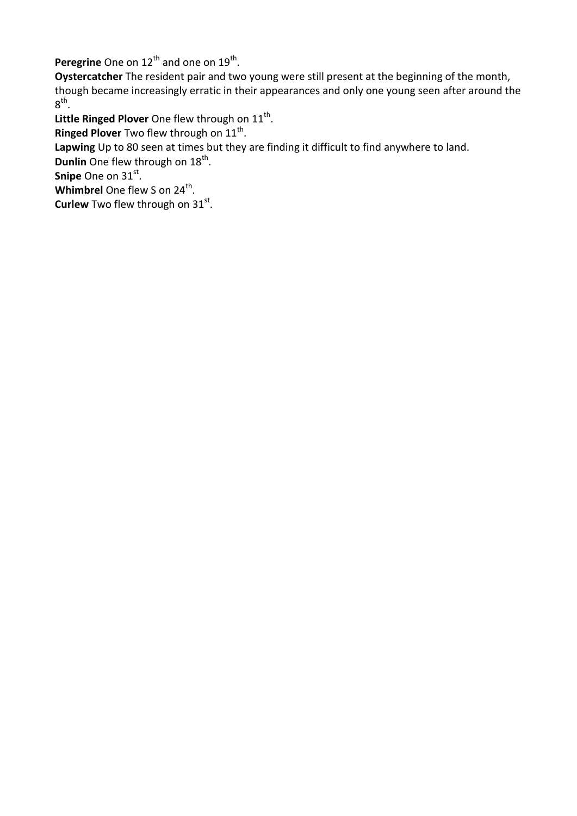Peregrine One on 12<sup>th</sup> and one on 19<sup>th</sup>.

**Oystercatcher** The resident pair and two young were still present at the beginning of the month, though became increasingly erratic in their appearances and only one young seen after around the  $8^{\text{th}}$ .

Little Ringed Plover One flew through on 11<sup>th</sup>.

**Ringed Plover** Two flew through on 11<sup>th</sup>.

**Lapwing** Up to 80 seen at times but they are finding it difficult to find anywhere to land.

Dunlin One flew through on 18<sup>th</sup>.

**Snipe** One on 31st.

**Whimbrel** One flew S on 24<sup>th</sup>.

**Curlew** Two flew through on 31st.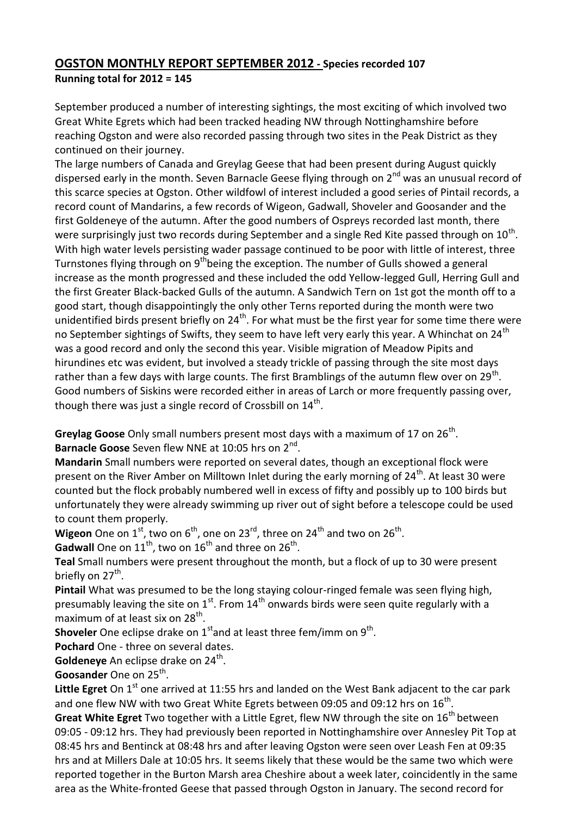## **OGSTON MONTHLY REPORT SEPTEMBER 2012 - Species recorded 107 Running total for 2012 = 145**

September produced a number of interesting sightings, the most exciting of which involved two Great White Egrets which had been tracked heading NW through Nottinghamshire before reaching Ogston and were also recorded passing through two sites in the Peak District as they continued on their journey.

The large numbers of Canada and Greylag Geese that had been present during August quickly dispersed early in the month. Seven Barnacle Geese flying through on  $2^{nd}$  was an unusual record of this scarce species at Ogston. Other wildfowl of interest included a good series of Pintail records, a record count of Mandarins, a few records of Wigeon, Gadwall, Shoveler and Goosander and the first Goldeneye of the autumn. After the good numbers of Ospreys recorded last month, there were surprisingly just two records during September and a single Red Kite passed through on  $10^{\text{th}}$ . With high water levels persisting wader passage continued to be poor with little of interest, three Turnstones flying through on 9<sup>th</sup>being the exception. The number of Gulls showed a general increase as the month progressed and these included the odd Yellow-legged Gull, Herring Gull and the first Greater Black-backed Gulls of the autumn. A Sandwich Tern on 1st got the month off to a good start, though disappointingly the only other Terns reported during the month were two unidentified birds present briefly on  $24<sup>th</sup>$ . For what must be the first year for some time there were no September sightings of Swifts, they seem to have left very early this year. A Whinchat on 24<sup>th</sup> was a good record and only the second this year. Visible migration of Meadow Pipits and hirundines etc was evident, but involved a steady trickle of passing through the site most days rather than a few days with large counts. The first Bramblings of the autumn flew over on 29<sup>th</sup>. Good numbers of Siskins were recorded either in areas of Larch or more frequently passing over, though there was just a single record of Crossbill on  $14^{\text{th}}$ .

Greylag Goose Only small numbers present most days with a maximum of 17 on 26<sup>th</sup>. Barnacle Goose Seven flew NNE at 10:05 hrs on 2<sup>nd</sup>.

**Mandarin** Small numbers were reported on several dates, though an exceptional flock were present on the River Amber on Milltown Inlet during the early morning of 24<sup>th</sup>. At least 30 were counted but the flock probably numbered well in excess of fifty and possibly up to 100 birds but unfortunately they were already swimming up river out of sight before a telescope could be used to count them properly.

**Wigeon** One on 1<sup>st</sup>, two on 6<sup>th</sup>, one on 23<sup>rd</sup>, three on 24<sup>th</sup> and two on 26<sup>th</sup>.

**Gadwall** One on  $11^{th}$ , two on  $16^{th}$  and three on  $26^{th}$ .

**Teal** Small numbers were present throughout the month, but a flock of up to 30 were present briefly on 27<sup>th</sup>.

**Pintail** What was presumed to be the long staying colour-ringed female was seen flying high, presumably leaving the site on  $1^{st}$ . From  $14^{th}$  onwards birds were seen quite regularly with a maximum of at least six on 28<sup>th</sup>.

**Shoveler** One eclipse drake on 1<sup>st</sup>and at least three fem/imm on 9<sup>th</sup>.

**Pochard** One - three on several dates.

Goldeneye An eclipse drake on 24<sup>th</sup>.

Goosander One on 25<sup>th</sup>.

Little Egret On 1<sup>st</sup> one arrived at 11:55 hrs and landed on the West Bank adjacent to the car park and one flew NW with two Great White Egrets between 09:05 and 09:12 hrs on  $16^{\text{th}}$ .

**Great White Egret** Two together with a Little Egret, flew NW through the site on 16<sup>th</sup> between 09:05 - 09:12 hrs. They had previously been reported in Nottinghamshire over Annesley Pit Top at 08:45 hrs and Bentinck at 08:48 hrs and after leaving Ogston were seen over Leash Fen at 09:35 hrs and at Millers Dale at 10:05 hrs. It seems likely that these would be the same two which were reported together in the Burton Marsh area Cheshire about a week later, coincidently in the same area as the White-fronted Geese that passed through Ogston in January. The second record for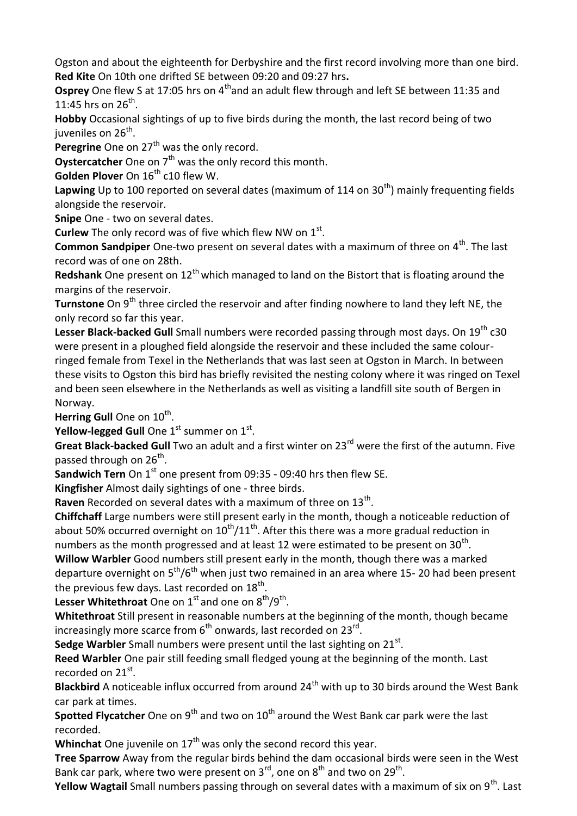Ogston and about the eighteenth for Derbyshire and the first record involving more than one bird. **Red Kite** On 10th one drifted SE between 09:20 and 09:27 hrs**.**

**Osprey** One flew S at 17:05 hrs on 4<sup>th</sup>and an adult flew through and left SE between 11:35 and 11:45 hrs on  $26^{th}$ .

**Hobby** Occasional sightings of up to five birds during the month, the last record being of two juveniles on 26 $^{\sf th}$ .

**Peregrine** One on 27<sup>th</sup> was the only record.

**Oystercatcher** One on 7<sup>th</sup> was the only record this month.

**Golden Plover** On  $16<sup>th</sup>$  c10 flew W.

Lapwing Up to 100 reported on several dates (maximum of 114 on 30<sup>th</sup>) mainly frequenting fields alongside the reservoir.

**Snipe** One - two on several dates.

**Curlew** The only record was of five which flew NW on 1st.

**Common Sandpiper** One-two present on several dates with a maximum of three on 4<sup>th</sup>. The last record was of one on 28th.

**Redshank** One present on 12<sup>th</sup> which managed to land on the Bistort that is floating around the margins of the reservoir.

**Turnstone** On 9<sup>th</sup> three circled the reservoir and after finding nowhere to land they left NE, the only record so far this year.

Lesser Black-backed Gull Small numbers were recorded passing through most days. On 19<sup>th</sup> c30 were present in a ploughed field alongside the reservoir and these included the same colourringed female from Texel in the Netherlands that was last seen at Ogston in March. In between these visits to Ogston this bird has briefly revisited the nesting colony where it was ringed on Texel and been seen elsewhere in the Netherlands as well as visiting a landfill site south of Bergen in Norway.

Herring Gull One on 10<sup>th</sup>.

**Yellow-legged Gull** One 1<sup>st</sup> summer on 1<sup>st</sup>.

Great Black-backed Gull Two an adult and a first winter on 23<sup>rd</sup> were the first of the autumn. Five passed through on 26<sup>th</sup>.

**Sandwich Tern** On 1<sup>st</sup> one present from 09:35 - 09:40 hrs then flew SE.

**Kingfisher** Almost daily sightings of one - three birds.

Raven Recorded on several dates with a maximum of three on 13<sup>th</sup>.

**Chiffchaff** Large numbers were still present early in the month, though a noticeable reduction of about 50% occurred overnight on  $10^{th}/11^{th}$ . After this there was a more gradual reduction in numbers as the month progressed and at least 12 were estimated to be present on 30<sup>th</sup>.

**Willow Warbler** Good numbers still present early in the month, though there was a marked departure overnight on  $5<sup>th</sup>/6<sup>th</sup>$  when just two remained in an area where 15-20 had been present the previous few days. Last recorded on  $18^{\text{th}}$ .

**Lesser Whitethroat** One on  $1^{st}$  and one on  $8^{th}/9^{th}$ .

**Whitethroat** Still present in reasonable numbers at the beginning of the month, though became increasingly more scarce from  $6<sup>th</sup>$  onwards, last recorded on 23 $<sup>rd</sup>$ .</sup>

Sedge Warbler Small numbers were present until the last sighting on 21<sup>st</sup>.

**Reed Warbler** One pair still feeding small fledged young at the beginning of the month. Last recorded on 21st.

**Blackbird** A noticeable influx occurred from around 24th with up to 30 birds around the West Bank car park at times.

**Spotted Flycatcher** One on 9<sup>th</sup> and two on 10<sup>th</sup> around the West Bank car park were the last recorded.

**Whinchat** One juvenile on 17<sup>th</sup> was only the second record this year.

**Tree Sparrow** Away from the regular birds behind the dam occasional birds were seen in the West Bank car park, where two were present on  $3^{\text{rd}}$ , one on  $8^{\text{th}}$  and two on  $29^{\text{th}}$ .

**Yellow Wagtail** Small numbers passing through on several dates with a maximum of six on 9<sup>th</sup>. Last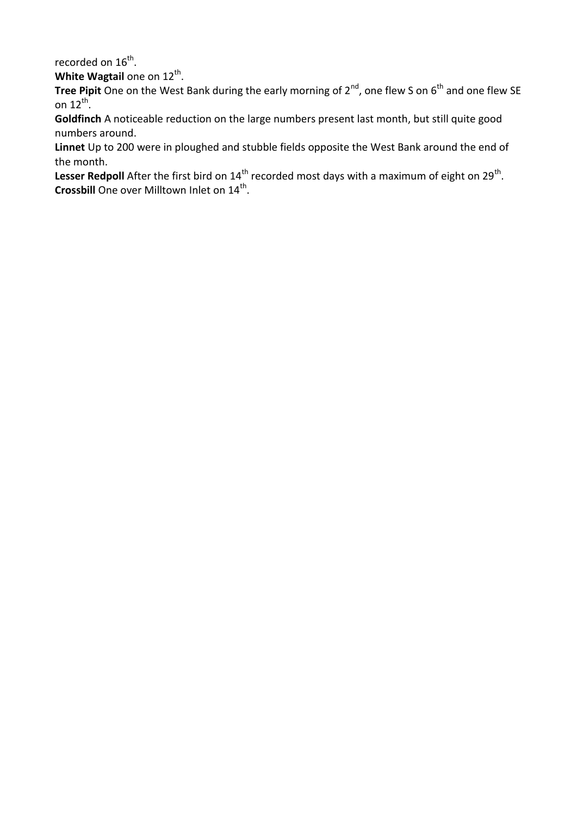recorded on 16<sup>th</sup>.

**White Wagtail** one on 12<sup>th</sup>.

**Tree Pipit** One on the West Bank during the early morning of 2<sup>nd</sup>, one flew S on 6<sup>th</sup> and one flew SE on 12 $<sup>th</sup>$ .</sup>

**Goldfinch** A noticeable reduction on the large numbers present last month, but still quite good numbers around.

**Linnet** Up to 200 were in ploughed and stubble fields opposite the West Bank around the end of the month.

Lesser Redpoll After the first bird on 14<sup>th</sup> recorded most days with a maximum of eight on 29<sup>th</sup>. Crossbill One over Milltown Inlet on 14<sup>th</sup>.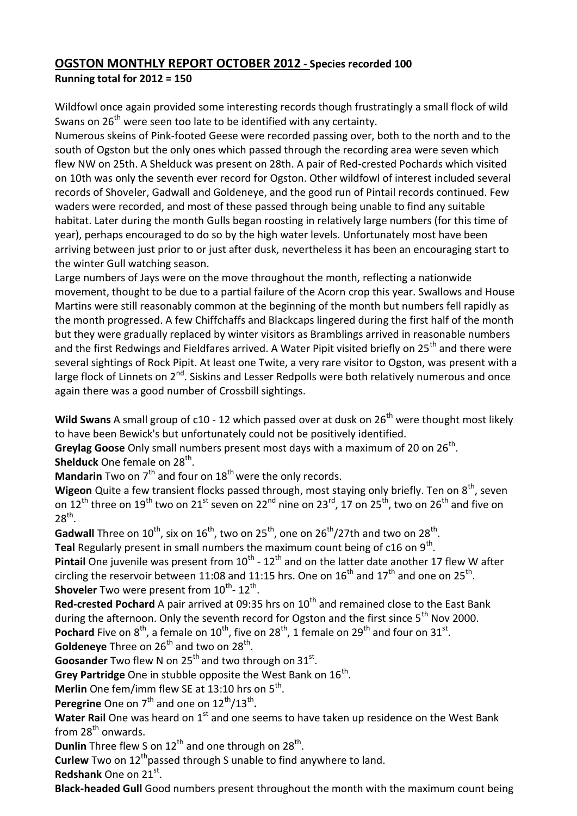## **OGSTON MONTHLY REPORT OCTOBER 2012 - Species recorded 100 Running total for 2012 = 150**

Wildfowl once again provided some interesting records though frustratingly a small flock of wild Swans on  $26<sup>th</sup>$  were seen too late to be identified with any certainty.

Numerous skeins of Pink-footed Geese were recorded passing over, both to the north and to the south of Ogston but the only ones which passed through the recording area were seven which flew NW on 25th. A Shelduck was present on 28th. A pair of Red-crested Pochards which visited on 10th was only the seventh ever record for Ogston. Other wildfowl of interest included several records of Shoveler, Gadwall and Goldeneye, and the good run of Pintail records continued. Few waders were recorded, and most of these passed through being unable to find any suitable habitat. Later during the month Gulls began roosting in relatively large numbers (for this time of year), perhaps encouraged to do so by the high water levels. Unfortunately most have been arriving between just prior to or just after dusk, nevertheless it has been an encouraging start to the winter Gull watching season.

Large numbers of Jays were on the move throughout the month, reflecting a nationwide movement, thought to be due to a partial failure of the Acorn crop this year. Swallows and House Martins were still reasonably common at the beginning of the month but numbers fell rapidly as the month progressed. A few Chiffchaffs and Blackcaps lingered during the first half of the month but they were gradually replaced by winter visitors as Bramblings arrived in reasonable numbers and the first Redwings and Fieldfares arrived. A Water Pipit visited briefly on 25<sup>th</sup> and there were several sightings of Rock Pipit. At least one Twite, a very rare visitor to Ogston, was present with a large flock of Linnets on  $2^{nd}$ . Siskins and Lesser Redpolls were both relatively numerous and once again there was a good number of Crossbill sightings.

**Wild Swans** A small group of c10 - 12 which passed over at dusk on 26<sup>th</sup> were thought most likely to have been Bewick's but unfortunately could not be positively identified.

Greylag Goose Only small numbers present most days with a maximum of 20 on 26<sup>th</sup>. **Shelduck** One female on 28<sup>th</sup>.

**Mandarin** Two on 7<sup>th</sup> and four on 18<sup>th</sup> were the only records.

Wigeon Quite a few transient flocks passed through, most staying only briefly. Ten on 8<sup>th</sup>, seven on  $12^{th}$  three on  $19^{th}$  two on  $21^{st}$  seven on  $22^{nd}$  nine on  $23^{rd}$ , 17 on  $25^{th}$ , two on  $26^{th}$  and five on  $28<sup>th</sup>$ .

Gadwall Three on  $10^{th}$ , six on  $16^{th}$ , two on 25<sup>th</sup>, one on 26<sup>th</sup>/27th and two on 28<sup>th</sup>.

Teal Regularly present in small numbers the maximum count being of c16 on 9<sup>th</sup>.

**Pintail** One juvenile was present from  $10^{th}$  -  $12^{th}$  and on the latter date another 17 flew W after circling the reservoir between 11:08 and 11:15 hrs. One on  $16^{\text{th}}$  and  $17^{\text{th}}$  and one on 25<sup>th</sup>. **Shoveler** Two were present from 10<sup>th</sup>-12<sup>th</sup>.

**Red-crested Pochard** A pair arrived at 09:35 hrs on 10<sup>th</sup> and remained close to the East Bank during the afternoon. Only the seventh record for Ogston and the first since  $5<sup>th</sup>$  Nov 2000. **Pochard** Five on  $8^{th}$ , a female on  $10^{th}$ , five on  $28^{th}$ , 1 female on  $29^{th}$  and four on  $31^{st}$ .

Goldeneye Three on 26<sup>th</sup> and two on 28<sup>th</sup>.

**Goosander** Two flew N on 25<sup>th</sup> and two through on 31<sup>st</sup>.

Grey Partridge One in stubble opposite the West Bank on 16<sup>th</sup>.

Merlin One fem/imm flew SE at 13:10 hrs on 5<sup>th</sup>.

Peregrine One on 7<sup>th</sup> and one on 12<sup>th</sup>/13<sup>th</sup>.

Water Rail One was heard on 1<sup>st</sup> and one seems to have taken up residence on the West Bank from  $28<sup>th</sup>$  onwards.

**Dunlin** Three flew S on 12<sup>th</sup> and one through on 28<sup>th</sup>.

**Curlew** Two on 12<sup>th</sup> passed through S unable to find anywhere to land.

**Redshank** One on 21st.

**Black-headed Gull** Good numbers present throughout the month with the maximum count being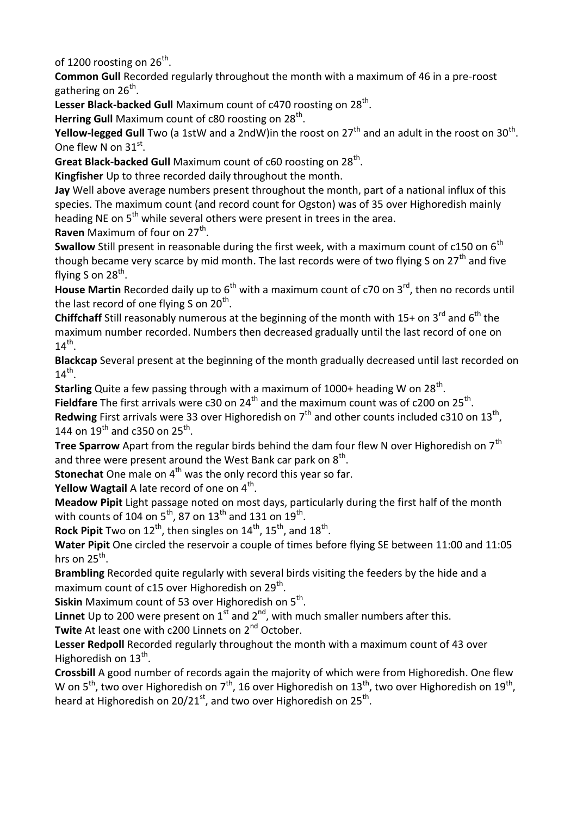of 1200 roosting on 26<sup>th</sup>.

**Common Gull** Recorded regularly throughout the month with a maximum of 46 in a pre-roost gathering on 26<sup>th</sup>.

Lesser Black-backed Gull Maximum count of c470 roosting on 28<sup>th</sup>.

Herring Gull Maximum count of c80 roosting on 28<sup>th</sup>.

**Yellow-legged Gull** Two (a 1stW and a 2ndW)in the roost on 27<sup>th</sup> and an adult in the roost on 30<sup>th</sup>. One flew N on  $31^{st}$ .

Great Black-backed Gull Maximum count of c60 roosting on 28<sup>th</sup>.

**Kingfisher** Up to three recorded daily throughout the month.

**Jay** Well above average numbers present throughout the month, part of a national influx of this species. The maximum count (and record count for Ogston) was of 35 over Highoredish mainly heading NE on  $5<sup>th</sup>$  while several others were present in trees in the area. Raven Maximum of four on 27<sup>th</sup>.

**Swallow** Still present in reasonable during the first week, with a maximum count of c150 on 6<sup>th</sup> though became very scarce by mid month. The last records were of two flying S on 27<sup>th</sup> and five flying S on 28<sup>th</sup>.

House Martin Recorded daily up to 6<sup>th</sup> with a maximum count of c70 on 3<sup>rd</sup>, then no records until the last record of one flying S on 20<sup>th</sup>.

**Chiffchaff** Still reasonably numerous at the beginning of the month with 15+ on 3<sup>rd</sup> and 6<sup>th</sup> the maximum number recorded. Numbers then decreased gradually until the last record of one on  $14<sup>th</sup>$ .

**Blackcap** Several present at the beginning of the month gradually decreased until last recorded on  $14^{\text{th}}$ .

**Starling** Quite a few passing through with a maximum of 1000+ heading W on 28<sup>th</sup>.

Fieldfare The first arrivals were c30 on 24<sup>th</sup> and the maximum count was of c200 on 25<sup>th</sup>.

Redwing First arrivals were 33 over Highoredish on 7<sup>th</sup> and other counts included c310 on 13<sup>th</sup>, 144 on  $19^{th}$  and c350 on 25<sup>th</sup>.

**Tree Sparrow** Apart from the regular birds behind the dam four flew N over Highoredish on 7<sup>th</sup> and three were present around the West Bank car park on  $8<sup>th</sup>$ .

**Stonechat** One male on 4<sup>th</sup> was the only record this year so far.

**Yellow Wagtail** A late record of one on 4<sup>th</sup>.

**Meadow Pipit** Light passage noted on most days, particularly during the first half of the month with counts of 104 on  $5^{th}$ , 87 on  $13^{th}$  and 131 on  $19^{th}$ .

**Rock Pipit** Two on 12<sup>th</sup>, then singles on 14<sup>th</sup>, 15<sup>th</sup>, and 18<sup>th</sup>.

**Water Pipit** One circled the reservoir a couple of times before flying SE between 11:00 and 11:05 hrs on  $25^{\text{th}}$ .

**Brambling** Recorded quite regularly with several birds visiting the feeders by the hide and a maximum count of c15 over Highoredish on 29<sup>th</sup>.

**Siskin** Maximum count of 53 over Highoredish on 5<sup>th</sup>.

**Linnet** Up to 200 were present on  $1^{st}$  and  $2^{nd}$ , with much smaller numbers after this.

Twite At least one with c200 Linnets on 2<sup>nd</sup> October.

**Lesser Redpoll** Recorded regularly throughout the month with a maximum count of 43 over Highoredish on 13<sup>th</sup>.

**Crossbill** A good number of records again the majority of which were from Highoredish. One flew W on 5<sup>th</sup>, two over Highoredish on 7<sup>th</sup>, 16 over Highoredish on 13<sup>th</sup>, two over Highoredish on 19<sup>th</sup>, heard at Highoredish on 20/21<sup>st</sup>, and two over Highoredish on 25<sup>th</sup>.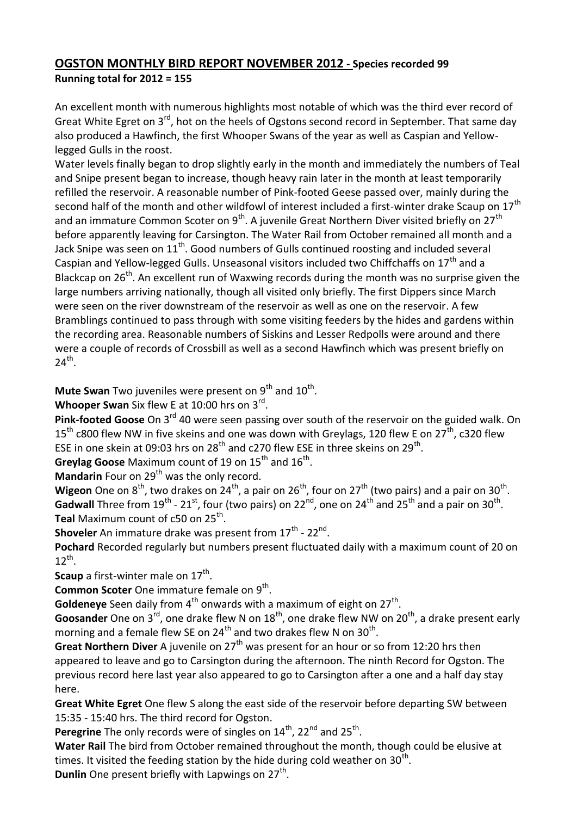## **OGSTON MONTHLY BIRD REPORT NOVEMBER 2012 - Species recorded 99 Running total for 2012 = 155**

An excellent month with numerous highlights most notable of which was the third ever record of Great White Egret on 3<sup>rd</sup>, hot on the heels of Ogstons second record in September. That same day also produced a Hawfinch, the first Whooper Swans of the year as well as Caspian and Yellowlegged Gulls in the roost.

Water levels finally began to drop slightly early in the month and immediately the numbers of Teal and Snipe present began to increase, though heavy rain later in the month at least temporarily refilled the reservoir. A reasonable number of Pink-footed Geese passed over, mainly during the second half of the month and other wildfowl of interest included a first-winter drake Scaup on  $17<sup>th</sup>$ and an immature Common Scoter on  $9^{th}$ . A juvenile Great Northern Diver visited briefly on 27<sup>th</sup> before apparently leaving for Carsington. The Water Rail from October remained all month and a Jack Snipe was seen on  $11<sup>th</sup>$ . Good numbers of Gulls continued roosting and included several Caspian and Yellow-legged Gulls. Unseasonal visitors included two Chiffchaffs on  $17<sup>th</sup>$  and a Blackcap on  $26<sup>th</sup>$ . An excellent run of Waxwing records during the month was no surprise given the large numbers arriving nationally, though all visited only briefly. The first Dippers since March were seen on the river downstream of the reservoir as well as one on the reservoir. A few Bramblings continued to pass through with some visiting feeders by the hides and gardens within the recording area. Reasonable numbers of Siskins and Lesser Redpolls were around and there were a couple of records of Crossbill as well as a second Hawfinch which was present briefly on  $24<sup>th</sup>$ .

**Mute Swan** Two juveniles were present on 9<sup>th</sup> and 10<sup>th</sup>.

Whooper Swan Six flew E at 10:00 hrs on 3<sup>rd</sup>.

**Pink-footed Goose** On 3rd 40 were seen passing over south of the reservoir on the guided walk. On  $15<sup>th</sup>$  c800 flew NW in five skeins and one was down with Greylags, 120 flew E on 27<sup>th</sup>, c320 flew ESE in one skein at 09:03 hrs on 28<sup>th</sup> and c270 flew ESE in three skeins on 29<sup>th</sup>.

Greylag Goose Maximum count of 19 on 15<sup>th</sup> and 16<sup>th</sup>.

**Mandarin** Four on 29<sup>th</sup> was the only record.

**Wigeon** One on  $8^{th}$ , two drakes on 24<sup>th</sup>, a pair on 26<sup>th</sup>, four on 27<sup>th</sup> (two pairs) and a pair on 30<sup>th</sup>. Gadwall Three from 19<sup>th</sup> - 21<sup>st</sup>, four (two pairs) on 22<sup>nd</sup>, one on 24<sup>th</sup> and 25<sup>th</sup> and a pair on 30<sup>th</sup>. **Teal** Maximum count of c50 on 25<sup>th</sup>.

**Shoveler** An immature drake was present from 17<sup>th</sup> - 22<sup>nd</sup>.

**Pochard** Recorded regularly but numbers present fluctuated daily with a maximum count of 20 on  $12^{th}$ .

**Scaup** a first-winter male on 17<sup>th</sup>.

Common Scoter One immature female on 9<sup>th</sup>.

Goldeneye Seen daily from 4<sup>th</sup> onwards with a maximum of eight on 27<sup>th</sup>.

**Goosander** One on 3<sup>rd</sup>, one drake flew N on 18<sup>th</sup>, one drake flew NW on 20<sup>th</sup>, a drake present early morning and a female flew SE on 24<sup>th</sup> and two drakes flew N on 30<sup>th</sup>.

**Great Northern Diver** A juvenile on 27<sup>th</sup> was present for an hour or so from 12:20 hrs then appeared to leave and go to Carsington during the afternoon. The ninth Record for Ogston. The previous record here last year also appeared to go to Carsington after a one and a half day stay here.

**Great White Egret** One flew S along the east side of the reservoir before departing SW between 15:35 - 15:40 hrs. The third record for Ogston.

Peregrine The only records were of singles on 14<sup>th</sup>, 22<sup>nd</sup> and 25<sup>th</sup>.

**Water Rail** The bird from October remained throughout the month, though could be elusive at times. It visited the feeding station by the hide during cold weather on 30<sup>th</sup>.

Dunlin One present briefly with Lapwings on 27<sup>th</sup>.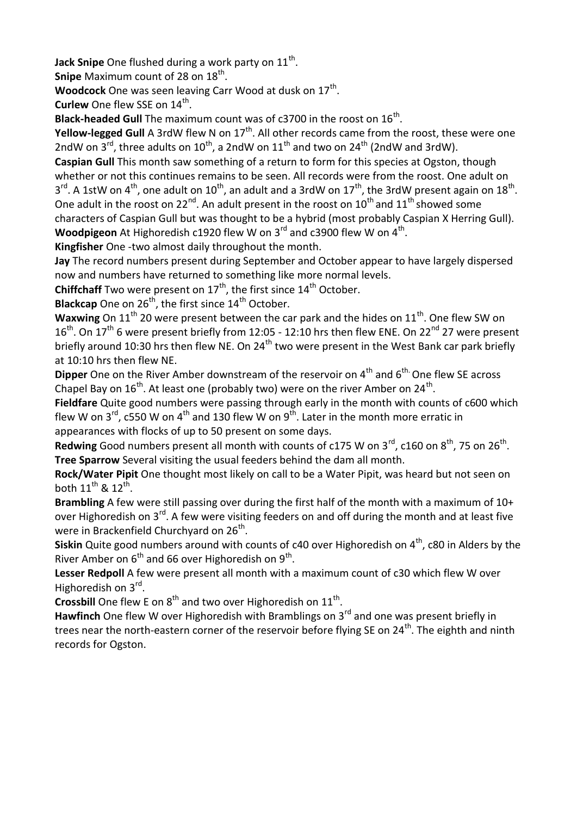**Jack Snipe** One flushed during a work party on 11<sup>th</sup>.

**Snipe** Maximum count of 28 on 18<sup>th</sup>.

Woodcock One was seen leaving Carr Wood at dusk on 17<sup>th</sup>.

**Curlew** One flew SSE on 14<sup>th</sup>.

Black-headed Gull The maximum count was of c3700 in the roost on 16<sup>th</sup>.

**Yellow-legged Gull** A 3rdW flew N on 17<sup>th</sup>. All other records came from the roost, these were one 2ndW on  $3^{rd}$ , three adults on  $10^{th}$ , a 2ndW on  $11^{th}$  and two on  $24^{th}$  (2ndW and 3rdW).

**Caspian Gull** This month saw something of a return to form for this species at Ogston, though whether or not this continues remains to be seen. All records were from the roost. One adult on  $3^{rd}$ . A 1stW on 4<sup>th</sup>, one adult on 10<sup>th</sup>, an adult and a 3rdW on 17<sup>th</sup>, the 3rdW present again on 18<sup>th</sup>. One adult in the roost on 22<sup>nd</sup>. An adult present in the roost on 10<sup>th</sup> and 11<sup>th</sup> showed some characters of Caspian Gull but was thought to be a hybrid (most probably Caspian X Herring Gull). Woodpigeon At Highoredish c1920 flew W on 3<sup>rd</sup> and c3900 flew W on 4<sup>th</sup>.

**Kingfisher** One -two almost daily throughout the month.

**Jay** The record numbers present during September and October appear to have largely dispersed now and numbers have returned to something like more normal levels.

**Chiffchaff** Two were present on 17<sup>th</sup>, the first since 14<sup>th</sup> October.

**Blackcap** One on 26<sup>th</sup>, the first since 14<sup>th</sup> October.

**Waxwing** On 11<sup>th</sup> 20 were present between the car park and the hides on 11<sup>th</sup>. One flew SW on  $16<sup>th</sup>$ . On  $17<sup>th</sup>$  6 were present briefly from 12:05 - 12:10 hrs then flew ENE. On 22<sup>nd</sup> 27 were present briefly around 10:30 hrs then flew NE. On 24<sup>th</sup> two were present in the West Bank car park briefly at 10:10 hrs then flew NE.

**Dipper** One on the River Amber downstream of the reservoir on 4<sup>th</sup> and 6<sup>th.</sup> One flew SE across Chapel Bay on  $16^{th}$ . At least one (probably two) were on the river Amber on  $24^{th}$ .

**Fieldfare** Quite good numbers were passing through early in the month with counts of c600 which flew W on  $3^{\text{rd}}$ , c550 W on  $4^{\text{th}}$  and 130 flew W on  $9^{\text{th}}$ . Later in the month more erratic in appearances with flocks of up to 50 present on some days.

Redwing Good numbers present all month with counts of c175 W on 3<sup>rd</sup>, c160 on 8<sup>th</sup>, 75 on 26<sup>th</sup>. **Tree Sparrow** Several visiting the usual feeders behind the dam all month.

**Rock/Water Pipit** One thought most likely on call to be a Water Pipit, was heard but not seen on both  $11^{\text{th}}$  &  $12^{\text{th}}$ .

**Brambling** A few were still passing over during the first half of the month with a maximum of 10+ over Highoredish on  $3^{rd}$ . A few were visiting feeders on and off during the month and at least five were in Brackenfield Churchyard on 26<sup>th</sup>.

**Siskin** Quite good numbers around with counts of c40 over Highoredish on 4<sup>th</sup>, c80 in Alders by the River Amber on  $6^{th}$  and 66 over Highoredish on 9<sup>th</sup>.

**Lesser Redpoll** A few were present all month with a maximum count of c30 which flew W over Highoredish on 3rd.

**Crossbill** One flew E on  $8<sup>th</sup>$  and two over Highoredish on  $11<sup>th</sup>$ .

Hawfinch One flew W over Highoredish with Bramblings on 3<sup>rd</sup> and one was present briefly in trees near the north-eastern corner of the reservoir before flying SE on 24<sup>th</sup>. The eighth and ninth records for Ogston.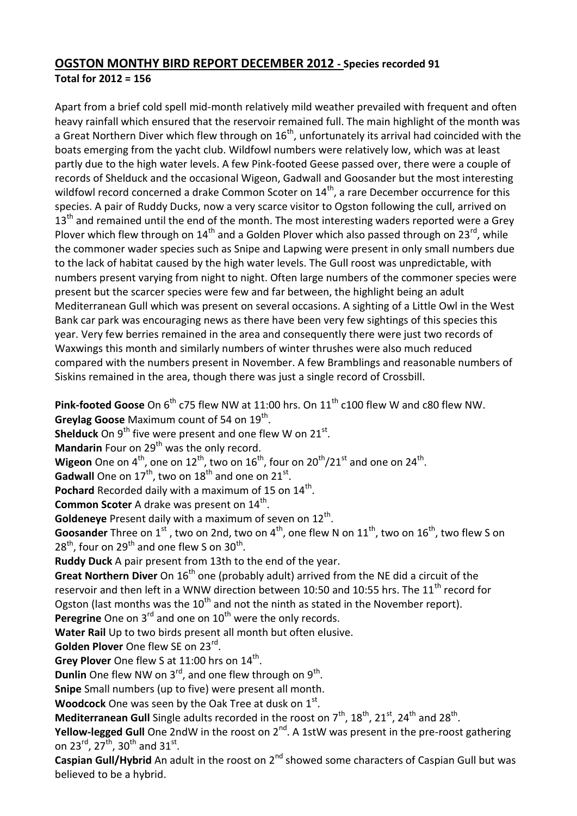## **OGSTON MONTHY BIRD REPORT DECEMBER 2012 - Species recorded 91 Total for 2012 = 156**

Apart from a brief cold spell mid-month relatively mild weather prevailed with frequent and often heavy rainfall which ensured that the reservoir remained full. The main highlight of the month was a Great Northern Diver which flew through on 16<sup>th</sup>, unfortunately its arrival had coincided with the boats emerging from the yacht club. Wildfowl numbers were relatively low, which was at least partly due to the high water levels. A few Pink-footed Geese passed over, there were a couple of records of Shelduck and the occasional Wigeon, Gadwall and Goosander but the most interesting wildfowl record concerned a drake Common Scoter on  $14<sup>th</sup>$ , a rare December occurrence for this species. A pair of Ruddy Ducks, now a very scarce visitor to Ogston following the cull, arrived on  $13<sup>th</sup>$  and remained until the end of the month. The most interesting waders reported were a Grey Plover which flew through on  $14<sup>th</sup>$  and a Golden Plover which also passed through on 23<sup>rd</sup>, while the commoner wader species such as Snipe and Lapwing were present in only small numbers due to the lack of habitat caused by the high water levels. The Gull roost was unpredictable, with numbers present varying from night to night. Often large numbers of the commoner species were present but the scarcer species were few and far between, the highlight being an adult Mediterranean Gull which was present on several occasions. A sighting of a Little Owl in the West Bank car park was encouraging news as there have been very few sightings of this species this year. Very few berries remained in the area and consequently there were just two records of Waxwings this month and similarly numbers of winter thrushes were also much reduced compared with the numbers present in November. A few Bramblings and reasonable numbers of Siskins remained in the area, though there was just a single record of Crossbill.

**Pink-footed Goose** On 6<sup>th</sup> c75 flew NW at 11:00 hrs. On 11<sup>th</sup> c100 flew W and c80 flew NW. Greylag Goose Maximum count of 54 on 19<sup>th</sup>.

**Shelduck** On 9<sup>th</sup> five were present and one flew W on 21<sup>st</sup>.

**Mandarin** Four on 29<sup>th</sup> was the only record.

**Wigeon** One on  $4^{th}$ , one on  $12^{th}$ , two on  $16^{th}$ , four on  $20^{th}/21^{st}$  and one on  $24^{th}$ .

**Gadwall** One on  $17<sup>th</sup>$ , two on  $18<sup>th</sup>$  and one on  $21<sup>st</sup>$ .

Pochard Recorded daily with a maximum of 15 on 14<sup>th</sup>.

**Common Scoter** A drake was present on 14<sup>th</sup>.

Goldeneye Present daily with a maximum of seven on 12<sup>th</sup>.

**Goosander** Three on 1<sup>st</sup>, two on 2nd, two on 4<sup>th</sup>, one flew N on 11<sup>th</sup>, two on 16<sup>th</sup>, two flew S on  $28<sup>th</sup>$ , four on  $29<sup>th</sup>$  and one flew S on  $30<sup>th</sup>$ .

**Ruddy Duck** A pair present from 13th to the end of the year.

**Great Northern Diver** On 16<sup>th</sup> one (probably adult) arrived from the NE did a circuit of the reservoir and then left in a WNW direction between 10:50 and 10:55 hrs. The 11<sup>th</sup> record for Ogston (last months was the  $10<sup>th</sup>$  and not the ninth as stated in the November report). Peregrine One on 3<sup>rd</sup> and one on 10<sup>th</sup> were the only records.

**Water Rail** Up to two birds present all month but often elusive.

Golden Plover One flew SE on 23<sup>rd</sup>.

Grey Plover One flew S at 11:00 hrs on 14<sup>th</sup>.

**Dunlin** One flew NW on 3<sup>rd</sup>, and one flew through on 9<sup>th</sup>.

**Snipe** Small numbers (up to five) were present all month.

Woodcock One was seen by the Oak Tree at dusk on 1<sup>st</sup>.

Mediterranean Gull Single adults recorded in the roost on 7<sup>th</sup>, 18<sup>th</sup>, 21<sup>st</sup>, 24<sup>th</sup> and 28<sup>th</sup>.

**Yellow-legged Gull** One 2ndW in the roost on 2<sup>nd</sup>. A 1stW was present in the pre-roost gathering on 23<sup>rd</sup>, 27<sup>th</sup>, 30<sup>th</sup> and 31<sup>st</sup>.

**Caspian Gull/Hybrid** An adult in the roost on 2<sup>nd</sup> showed some characters of Caspian Gull but was believed to be a hybrid.